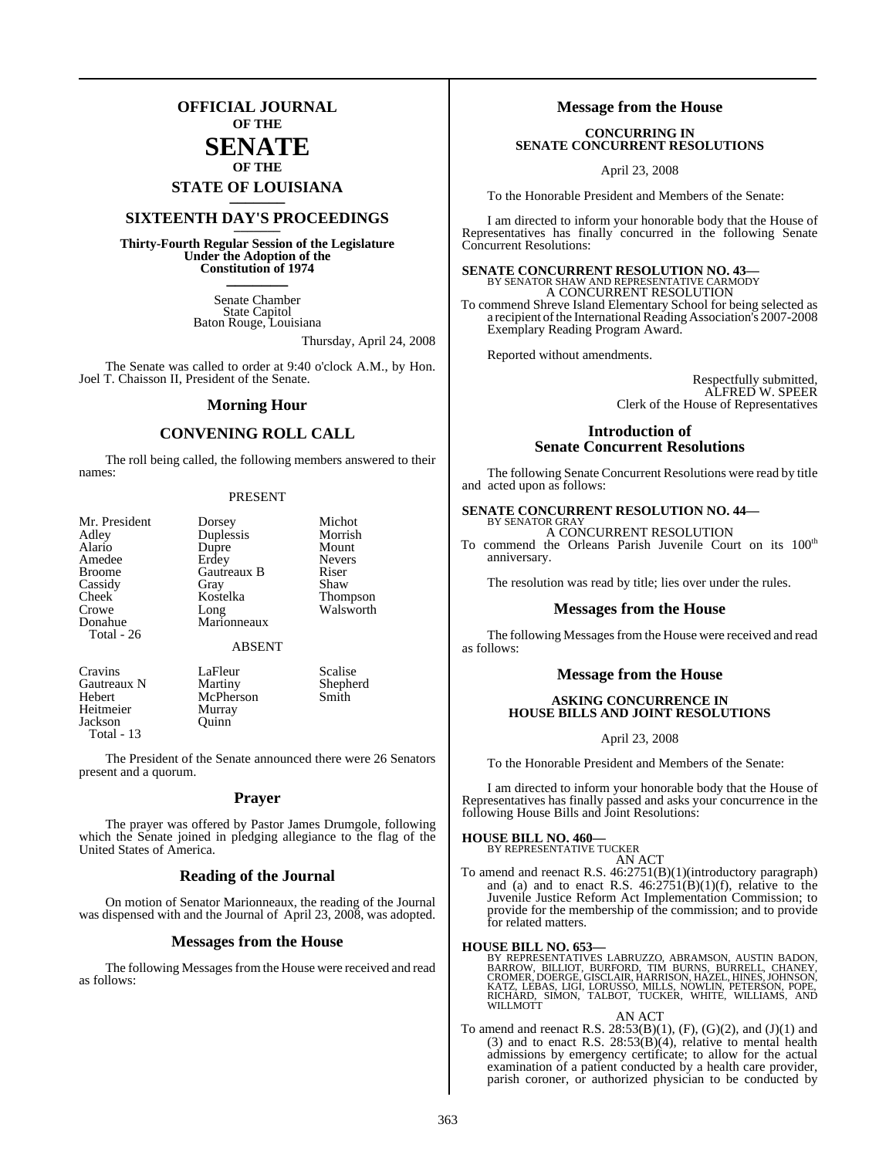## **OFFICIAL JOURNAL OF THE**

## **SENATE OF THE**

# **STATE OF LOUISIANA \_\_\_\_\_\_\_**

## **SIXTEENTH DAY'S PROCEEDINGS \_\_\_\_\_\_\_**

**Thirty-Fourth Regular Session of the Legislature Under the Adoption of the Constitution of 1974 \_\_\_\_\_\_\_**

> Senate Chamber State Capitol Baton Rouge, Louisiana

> > Thursday, April 24, 2008

The Senate was called to order at 9:40 o'clock A.M., by Hon. Joel T. Chaisson II, President of the Senate.

#### **Morning Hour**

### **CONVENING ROLL CALL**

The roll being called, the following members answered to their names:

#### PRESENT

| Mr. President    | Dorsey                | Michot                |
|------------------|-----------------------|-----------------------|
| Adley            | Duplessis             | Morrish               |
| Alario           | Dupre                 | Mount                 |
| Amedee           | Erdey                 | <b>Nevers</b>         |
| <b>Broome</b>    | Gautreaux B           | Riser                 |
| Cassidy          | Gray                  | Shaw                  |
| <b>Cheek</b>     | Kostelka              | Thompson<br>Walsworth |
| Crowe            | Long                  |                       |
| Donahue          | Marionneaux           |                       |
| Total - 26       |                       |                       |
|                  | <b>ABSENT</b>         |                       |
| $C_{\text{max}}$ | $L = \Gamma L \ldots$ | $C = -11$             |

Gautreaux N Heitmeier Murray<br>Jackson Ouinn Jackson Total - 13

Cravins LaFleur Scalise<br>
Gautreaux N Martiny Shepherd Hebert McPherson Smith<br>Heitmeier Murray

The President of the Senate announced there were 26 Senators present and a quorum.

#### **Prayer**

The prayer was offered by Pastor James Drumgole, following which the Senate joined in pledging allegiance to the flag of the United States of America.

#### **Reading of the Journal**

On motion of Senator Marionneaux, the reading of the Journal was dispensed with and the Journal of April 23, 2008, was adopted.

#### **Messages from the House**

The following Messages from the House were received and read as follows:

#### **Message from the House**

#### **CONCURRING IN SENATE CONCURRENT RESOLUTIONS**

April 23, 2008

To the Honorable President and Members of the Senate:

I am directed to inform your honorable body that the House of Representatives has finally concurred in the following Senate Concurrent Resolutions:

## **SENATE CONCURRENT RESOLUTION NO. 43—** BY SENATOR SHAW AND REPRESENTATIVE CARMODY A CONCURRENT RESOLUTION

To commend Shreve Island Elementary School for being selected as a recipient of the International Reading Association's 2007-2008 Exemplary Reading Program Award.

Reported without amendments.

Respectfully submitted, ALFRED W. SPEER Clerk of the House of Representatives

#### **Introduction of Senate Concurrent Resolutions**

The following Senate Concurrent Resolutions were read by title and acted upon as follows:

#### **SENATE CONCURRENT RESOLUTION NO. 44—** BY SENATOR GRAY

A CONCURRENT RESOLUTION

To commend the Orleans Parish Juvenile Court on its 100<sup>th</sup> anniversary.

The resolution was read by title; lies over under the rules.

#### **Messages from the House**

The following Messages from the House were received and read as follows:

#### **Message from the House**

#### **ASKING CONCURRENCE IN HOUSE BILLS AND JOINT RESOLUTIONS**

April 23, 2008

To the Honorable President and Members of the Senate:

I am directed to inform your honorable body that the House of Representatives has finally passed and asks your concurrence in the following House Bills and Joint Resolutions:

#### **HOUSE BILL NO. 460—**

BY REPRESENTATIVE TUCKER AN ACT

To amend and reenact R.S. 46:2751(B)(1)(introductory paragraph) and (a) and to enact R.S.  $46:2751(B)(1)(f)$ , relative to the Juvenile Justice Reform Act Implementation Commission; to provide for the membership of the commission; and to provide for related matters.

#### **HOUSE BILL NO. 653—**

BY REPRESENTATIVES LABRUZZO, ABRAMSON, AUSTIN BADON,<br>BARROW, BILLIOT, BURFORD, TIM BURNS, BURRELL, CHANEY,<br>CROMER, DOERGE, GISCLAIR, HARRISON, HAZEL, HINES, JOHNSON,<br>KATZ, LEBAS, LIGI, LORUSSO, MILLS, NOWLIN, PETERSON, POP

#### AN ACT

To amend and reenact R.S.  $28:53(B)(1)$ ,  $(F)$ ,  $(G)(2)$ , and  $(J)(1)$  and (3) and to enact R.S.  $28:53(B)(4)$ , relative to mental health admissions by emergency certificate; to allow for the actual examination of a patient conducted by a health care provider, parish coroner, or authorized physician to be conducted by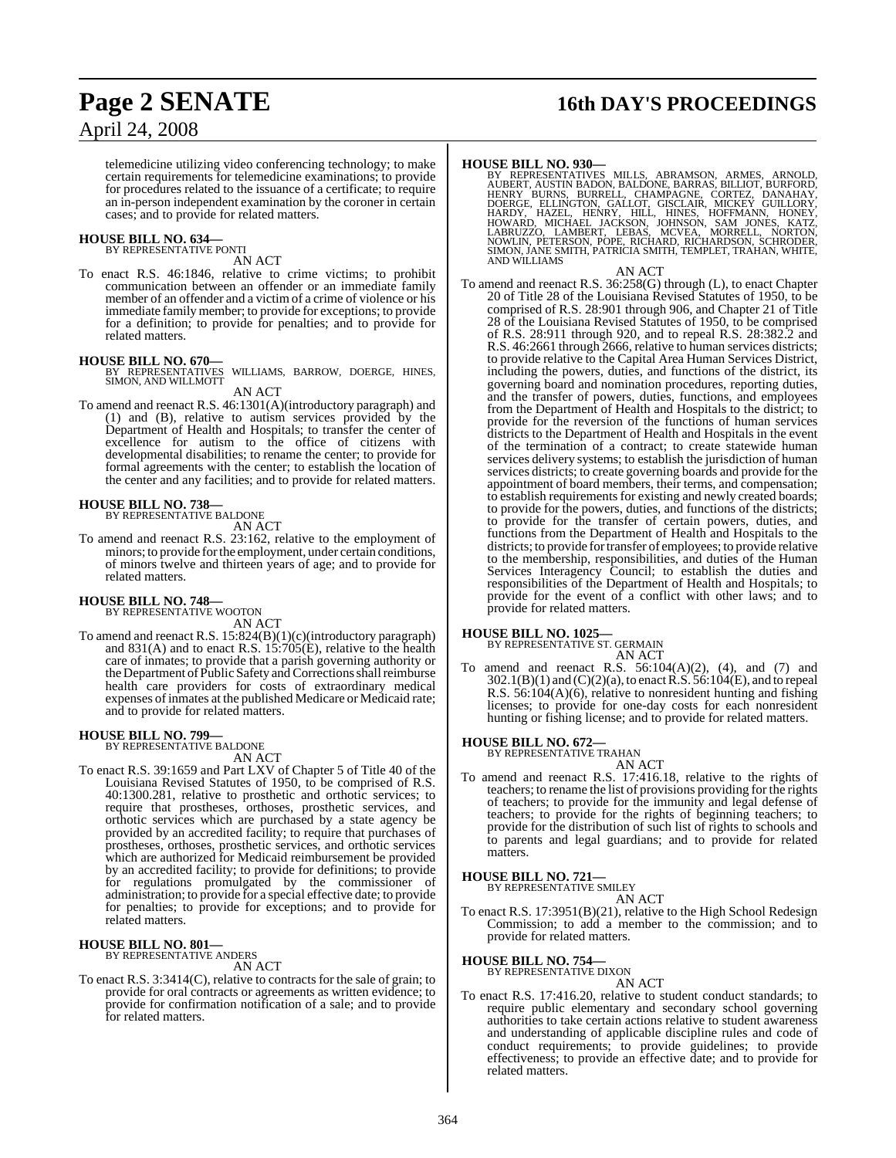## **Page 2 SENATE 16th DAY'S PROCEEDINGS**

telemedicine utilizing video conferencing technology; to make certain requirements for telemedicine examinations; to provide for procedures related to the issuance of a certificate; to require an in-person independent examination by the coroner in certain cases; and to provide for related matters.

## **HOUSE BILL NO. 634—** BY REPRESENTATIVE PONTI

AN ACT

To enact R.S. 46:1846, relative to crime victims; to prohibit communication between an offender or an immediate family member of an offender and a victim of a crime of violence or his immediate family member; to provide for exceptions; to provide for a definition; to provide for penalties; and to provide for related matters.

**HOUSE BILL NO. 670—** BY REPRESENTATIVES WILLIAMS, BARROW, DOERGE, HINES, SIMON, AND WILLMOTT

AN ACT

To amend and reenact R.S. 46:1301(A)(introductory paragraph) and (1) and (B), relative to autism services provided by the Department of Health and Hospitals; to transfer the center of excellence for autism to the office of citizens with developmental disabilities; to rename the center; to provide for formal agreements with the center; to establish the location of the center and any facilities; and to provide for related matters.

#### **HOUSE BILL NO. 738—**

BY REPRESENTATIVE BALDONE AN ACT

To amend and reenact R.S. 23:162, relative to the employment of minors; to provide forthe employment, under certain conditions, of minors twelve and thirteen years of age; and to provide for related matters.

#### **HOUSE BILL NO. 748—**

BY REPRESENTATIVE WOOTON AN ACT

To amend and reenact R.S. 15:824(B)(1)(c)(introductory paragraph) and  $831(A)$  and to enact R.S.  $15:705(E)$ , relative to the health care of inmates; to provide that a parish governing authority or the Department of Public Safety and Corrections shall reimburse health care providers for costs of extraordinary medical expenses of inmates at the published Medicare or Medicaid rate; and to provide for related matters.

## **HOUSE BILL NO. 799—** BY REPRESENTATIVE BALDONE

AN ACT

To enact R.S. 39:1659 and Part LXV of Chapter 5 of Title 40 of the Louisiana Revised Statutes of 1950, to be comprised of R.S. 40:1300.281, relative to prosthetic and orthotic services; to require that prostheses, orthoses, prosthetic services, and orthotic services which are purchased by a state agency be provided by an accredited facility; to require that purchases of prostheses, orthoses, prosthetic services, and orthotic services which are authorized for Medicaid reimbursement be provided by an accredited facility; to provide for definitions; to provide for regulations promulgated by the commissioner of administration; to provide for a special effective date; to provide for penalties; to provide for exceptions; and to provide for related matters.

#### **HOUSE BILL NO. 801—**

BY REPRESENTATIVE ANDERS

AN ACT

To enact R.S. 3:3414(C), relative to contracts for the sale of grain; to provide for oral contracts or agreements as written evidence; to provide for confirmation notification of a sale; and to provide for related matters.

**HOUSE BILL NO. 930—**<br>BY REPRESENTATIVES MILLS, ABRAMSON, ARMES, ARNOLD,<br>AUBERT, AUSTIN BADON, BALDONE, BARRAS, BILLIOT, BURFORD,<br>HENRY BURNS, BURRELL, CHAMPAGNE, CORTEZ, DANAHAY,<br>DOERGE, ELLINGTON, GALLOT, GISCLAIR, MICKE AND WILLIAMS

#### AN ACT

To amend and reenact R.S. 36:258(G) through (L), to enact Chapter 20 of Title 28 of the Louisiana Revised Statutes of 1950, to be comprised of R.S. 28:901 through 906, and Chapter 21 of Title 28 of the Louisiana Revised Statutes of 1950, to be comprised of R.S. 28:911 through 920, and to repeal R.S. 28:382.2 and R.S. 46:2661 through 2666, relative to human services districts; to provide relative to the Capital Area Human Services District, including the powers, duties, and functions of the district, its governing board and nomination procedures, reporting duties, and the transfer of powers, duties, functions, and employees from the Department of Health and Hospitals to the district; to provide for the reversion of the functions of human services districts to the Department of Health and Hospitals in the event of the termination of a contract; to create statewide human services delivery systems; to establish the jurisdiction of human services districts; to create governing boards and provide for the appointment of board members, their terms, and compensation; to establish requirements for existing and newly created boards; to provide for the powers, duties, and functions of the districts; to provide for the transfer of certain powers, duties, and functions from the Department of Health and Hospitals to the districts; to provide fortransfer of employees; to provide relative to the membership, responsibilities, and duties of the Human Services Interagency Council; to establish the duties and responsibilities of the Department of Health and Hospitals; to provide for the event of a conflict with other laws; and to provide for related matters.

#### **HOUSE BILL NO. 1025—**

BY REPRESENTATIVE ST. GERMAIN AN ACT

To amend and reenact R.S.  $56:104(A)(2)$ ,  $(4)$ , and  $(7)$  and  $302.1(B)(1)$  and  $(C)(2)(a)$ , to enact  $\overrightarrow{R}$ .  $\overrightarrow{S}$ .  $\overrightarrow{56}:104(E)$ , and to repeal R.S. 56:104(A)(6), relative to nonresident hunting and fishing licenses; to provide for one-day costs for each nonresident hunting or fishing license; and to provide for related matters.

## **HOUSE BILL NO. 672—** BY REPRESENTATIVE TRAHAN

AN ACT

To amend and reenact R.S. 17:416.18, relative to the rights of teachers; to rename the list of provisions providing for the rights of teachers; to provide for the immunity and legal defense of teachers; to provide for the rights of beginning teachers; to provide for the distribution of such list of rights to schools and to parents and legal guardians; and to provide for related matters.

## **HOUSE BILL NO. 721—** BY REPRESENTATIVE SMILEY

AN ACT

To enact R.S. 17:3951(B)(21), relative to the High School Redesign Commission; to add a member to the commission; and to provide for related matters.

#### **HOUSE BILL NO. 754—**

BY REPRESENTATIVE DIXON

AN ACT To enact R.S. 17:416.20, relative to student conduct standards; to require public elementary and secondary school governing authorities to take certain actions relative to student awareness and understanding of applicable discipline rules and code of conduct requirements; to provide guidelines; to provide effectiveness; to provide an effective date; and to provide for related matters.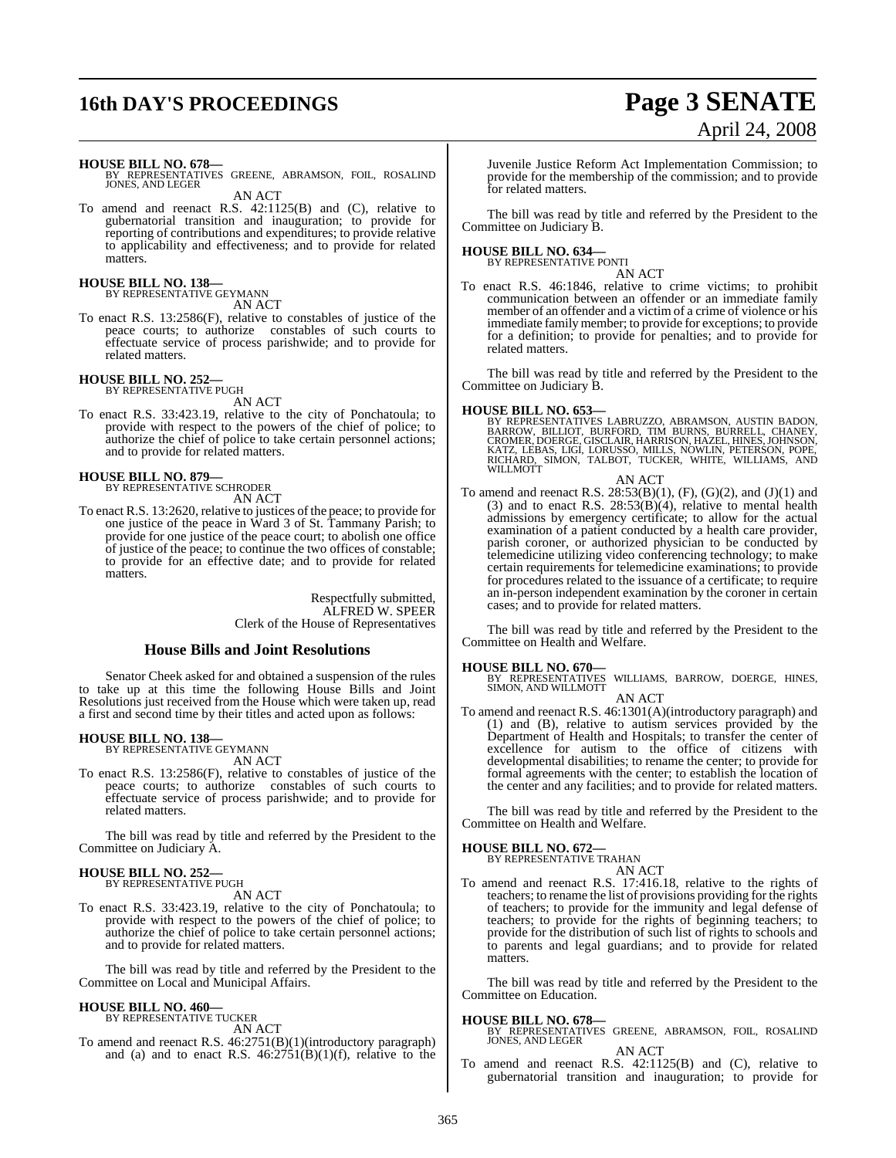# **16th DAY'S PROCEEDINGS Page 3 SENATE**

# April 24, 2008

**HOUSE BILL NO. 678—**

AN ACT

To amend and reenact R.S. 42:1125(B) and (C), relative to gubernatorial transition and inauguration; to provide for reporting of contributions and expenditures; to provide relative to applicability and effectiveness; and to provide for related matters.

## **HOUSE BILL NO. 138—** BY REPRESENTATIVE GEYMANN

AN ACT

To enact R.S. 13:2586(F), relative to constables of justice of the peace courts; to authorize constables of such courts to effectuate service of process parishwide; and to provide for related matters.

## **HOUSE BILL NO. 252—** BY REPRESENTATIVE PUGH

AN ACT

To enact R.S. 33:423.19, relative to the city of Ponchatoula; to provide with respect to the powers of the chief of police; to authorize the chief of police to take certain personnel actions; and to provide for related matters.

# **HOUSE BILL NO. 879—** BY REPRESENTATIVE SCHRODER

AN ACT

To enact R.S. 13:2620, relative to justices of the peace; to provide for one justice of the peace in Ward 3 of St. Tammany Parish; to provide for one justice of the peace court; to abolish one office of justice of the peace; to continue the two offices of constable; to provide for an effective date; and to provide for related matters.

> Respectfully submitted, ALFRED W. SPEER Clerk of the House of Representatives

### **House Bills and Joint Resolutions**

Senator Cheek asked for and obtained a suspension of the rules to take up at this time the following House Bills and Joint Resolutions just received from the House which were taken up, read a first and second time by their titles and acted upon as follows:

#### **HOUSE BILL NO. 138—**

BY REPRESENTATIVE GEYMANN AN ACT

To enact R.S. 13:2586(F), relative to constables of justice of the peace courts; to authorize constables of such courts to effectuate service of process parishwide; and to provide for related matters.

The bill was read by title and referred by the President to the Committee on Judiciary A.

#### **HOUSE BILL NO. 252—** BY REPRESENTATIVE PUGH

AN ACT

To enact R.S. 33:423.19, relative to the city of Ponchatoula; to provide with respect to the powers of the chief of police; to authorize the chief of police to take certain personnel actions; and to provide for related matters.

The bill was read by title and referred by the President to the Committee on Local and Municipal Affairs.

### **HOUSE BILL NO. 460—**

BY REPRESENTATIVE TUCKER AN ACT

To amend and reenact R.S. 46:2751(B)(1)(introductory paragraph) and (a) and to enact R.S.  $46:2751(B)(1)(f)$ , relative to the Juvenile Justice Reform Act Implementation Commission; to provide for the membership of the commission; and to provide for related matters.

The bill was read by title and referred by the President to the Committee on Judiciary B.

#### **HOUSE BILL NO. 634—** BY REPRESENTATIVE PONTI

AN ACT

To enact R.S. 46:1846, relative to crime victims; to prohibit communication between an offender or an immediate family member of an offender and a victim of a crime of violence or his immediate family member; to provide for exceptions; to provide for a definition; to provide for penalties; and to provide for related matters.

The bill was read by title and referred by the President to the Committee on Judiciary B.

**HOUSE BILL NO. 653—**<br>BY REPRESENTATIVES LABRUZZO, ABRAMSON, AUSTIN BADON,<br>BARROW, BILLIOT, BURFORD, TIM BURNS, BURRELL, CHANEY,<br>CROMER, DOERGE, GISCLAIR, HARRISON, HAZEL, HINES, JOHNSON,<br>KATZ, LEBAS, LIGI, LORUSSO, MILLS, WILLMOTT

#### AN ACT

To amend and reenact R.S.  $28:53(B)(1)$ ,  $(F)$ ,  $(G)(2)$ , and  $(J)(1)$  and (3) and to enact R.S.  $28:53(B)(4)$ , relative to mental health admissions by emergency certificate; to allow for the actual examination of a patient conducted by a health care provider, parish coroner, or authorized physician to be conducted by telemedicine utilizing video conferencing technology; to make certain requirements for telemedicine examinations; to provide for procedures related to the issuance of a certificate; to require an in-person independent examination by the coroner in certain cases; and to provide for related matters.

The bill was read by title and referred by the President to the Committee on Health and Welfare.

#### **HOUSE BILL NO. 670—**

WILLIAMS, BARROW, DOERGE, HINES, **SIMON, AND WILL INC. 070-8**<br>BY REPRESENTATIVES<br>SIMON, AND WILLMOTT AN ACT

To amend and reenact R.S. 46:1301(A)(introductory paragraph) and (1) and (B), relative to autism services provided by the Department of Health and Hospitals; to transfer the center of excellence for autism to the office of citizens with developmental disabilities; to rename the center; to provide for formal agreements with the center; to establish the location of the center and any facilities; and to provide for related matters.

The bill was read by title and referred by the President to the Committee on Health and Welfare.

#### **HOUSE BILL NO. 672—**

BY REPRESENTATIVE TRAHAN

AN ACT To amend and reenact R.S. 17:416.18, relative to the rights of teachers; to rename the list of provisions providing for the rights of teachers; to provide for the immunity and legal defense of teachers; to provide for the rights of beginning teachers; to provide for the distribution of such list of rights to schools and to parents and legal guardians; and to provide for related matters.

The bill was read by title and referred by the President to the Committee on Education.

#### **HOUSE BILL NO. 678—**

BY REPRESENTATIVES GREENE, ABRAMSON, FOIL, ROSALIND JONES, AND LEGER AN ACT

To amend and reenact R.S. 42:1125(B) and (C), relative to gubernatorial transition and inauguration; to provide for

BY REPRESENTATIVES GREENE, ABRAMSON, FOIL, ROSALIND JONES, AND LEGER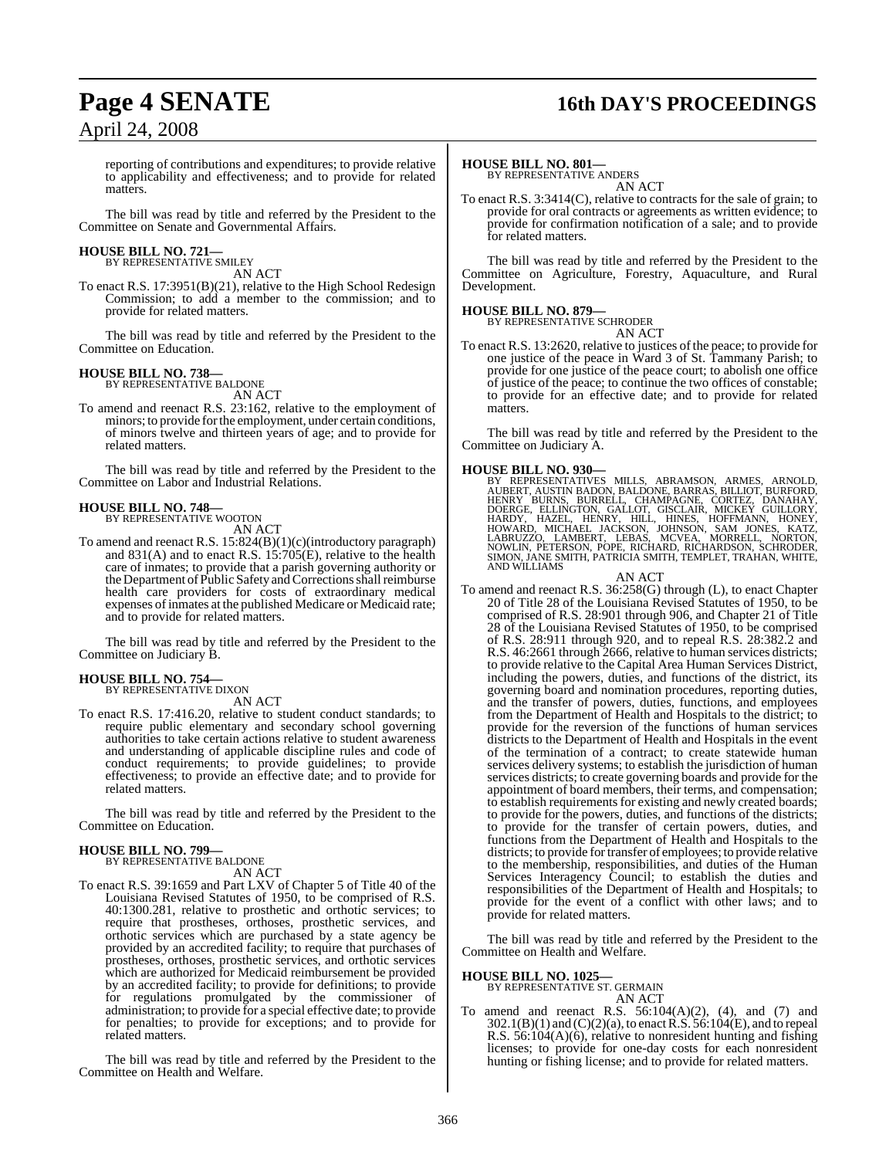## **Page 4 SENATE 16th DAY'S PROCEEDINGS**

reporting of contributions and expenditures; to provide relative to applicability and effectiveness; and to provide for related matters.

The bill was read by title and referred by the President to the Committee on Senate and Governmental Affairs.

#### **HOUSE BILL NO. 721—** BY REPRESENTATIVE SMILEY

AN ACT

To enact R.S. 17:3951(B)(21), relative to the High School Redesign Commission; to add a member to the commission; and to provide for related matters.

The bill was read by title and referred by the President to the Committee on Education.

#### **HOUSE BILL NO. 738—**

BY REPRESENTATIVE BALDONE AN ACT

To amend and reenact R.S. 23:162, relative to the employment of minors; to provide for the employment, under certain conditions, of minors twelve and thirteen years of age; and to provide for related matters.

The bill was read by title and referred by the President to the Committee on Labor and Industrial Relations.

#### **HOUSE BILL NO. 748—**

BY REPRESENTATIVE WOOTON

- AN ACT
- To amend and reenact R.S. 15:824(B)(1)(c)(introductory paragraph) and 831(A) and to enact R.S. 15:705(E), relative to the health care of inmates; to provide that a parish governing authority or the Department of Public Safety and Corrections shall reimburse health care providers for costs of extraordinary medical expenses of inmates at the published Medicare or Medicaid rate; and to provide for related matters.

The bill was read by title and referred by the President to the Committee on Judiciary B.

#### **HOUSE BILL NO. 754—**

BY REPRESENTATIVE DIXON AN ACT

To enact R.S. 17:416.20, relative to student conduct standards; to require public elementary and secondary school governing authorities to take certain actions relative to student awareness and understanding of applicable discipline rules and code of conduct requirements; to provide guidelines; to provide effectiveness; to provide an effective date; and to provide for

The bill was read by title and referred by the President to the Committee on Education.

#### **HOUSE BILL NO. 799—**

related matters.

BY REPRESENTATIVE BALDONE

- AN ACT
- To enact R.S. 39:1659 and Part LXV of Chapter 5 of Title 40 of the Louisiana Revised Statutes of 1950, to be comprised of R.S. 40:1300.281, relative to prosthetic and orthotic services; to require that prostheses, orthoses, prosthetic services, and orthotic services which are purchased by a state agency be provided by an accredited facility; to require that purchases of prostheses, orthoses, prosthetic services, and orthotic services which are authorized for Medicaid reimbursement be provided by an accredited facility; to provide for definitions; to provide for regulations promulgated by the commissioner of administration; to provide for a special effective date; to provide for penalties; to provide for exceptions; and to provide for related matters.

The bill was read by title and referred by the President to the Committee on Health and Welfare.

#### **HOUSE BILL NO. 801—**

BY REPRESENTATIVE ANDERS AN ACT

To enact R.S. 3:3414(C), relative to contracts for the sale of grain; to provide for oral contracts or agreements as written evidence; to provide for confirmation notification of a sale; and to provide for related matters.

The bill was read by title and referred by the President to the Committee on Agriculture, Forestry, Aquaculture, and Rural Development.

#### **HOUSE BILL NO. 879—**

BY REPRESENTATIVE SCHRODER

AN ACT To enact R.S. 13:2620, relative to justices of the peace; to provide for one justice of the peace in Ward 3 of St. Tammany Parish; to provide for one justice of the peace court; to abolish one office of justice of the peace; to continue the two offices of constable; to provide for an effective date; and to provide for related matters.

The bill was read by title and referred by the President to the Committee on Judiciary A.

#### **HOUSE BILL NO. 930—**

BY REPRESENTATIVES MILLS, ABRAMSON, ARMES, ARNOLD,<br>AUBERT, AUSTIN BADON, BALDONE, BARRAS, BILLIOT, BURFORD,<br>HENRY BURNS, BURRELL, CHAMPAGNE, CORTEZ, DANAHAY,<br>DOERGE, ELLINGTON, GALLOT, GISCLAIR, MICKEY GUILLORY,<br>HARDY, HAZ

AN ACT

To amend and reenact R.S. 36:258(G) through (L), to enact Chapter 20 of Title 28 of the Louisiana Revised Statutes of 1950, to be comprised of R.S. 28:901 through 906, and Chapter 21 of Title 28 of the Louisiana Revised Statutes of 1950, to be comprised of R.S. 28:911 through 920, and to repeal R.S. 28:382.2 and R.S. 46:2661 through 2666, relative to human services districts; to provide relative to the Capital Area Human Services District, including the powers, duties, and functions of the district, its governing board and nomination procedures, reporting duties, and the transfer of powers, duties, functions, and employees from the Department of Health and Hospitals to the district; to provide for the reversion of the functions of human services districts to the Department of Health and Hospitals in the event of the termination of a contract; to create statewide human services delivery systems; to establish the jurisdiction of human services districts; to create governing boards and provide for the appointment of board members, their terms, and compensation; to establish requirements for existing and newly created boards; to provide for the powers, duties, and functions of the districts; to provide for the transfer of certain powers, duties, and functions from the Department of Health and Hospitals to the districts; to provide for transfer of employees; to provide relative to the membership, responsibilities, and duties of the Human Services Interagency Council; to establish the duties and responsibilities of the Department of Health and Hospitals; to provide for the event of a conflict with other laws; and to provide for related matters.

The bill was read by title and referred by the President to the Committee on Health and Welfare.

#### **HOUSE BILL NO. 1025—**

BY REPRESENTATIVE ST. GERMAIN AN ACT

To amend and reenact R.S. 56:104(A)(2), (4), and (7) and  $302.1(B)(1)$  and  $(C)(2)(a)$ , to enact R.S.  $56:104(E)$ , and to repeal R.S. 56:104(A)(6), relative to nonresident hunting and fishing licenses; to provide for one-day costs for each nonresident hunting or fishing license; and to provide for related matters.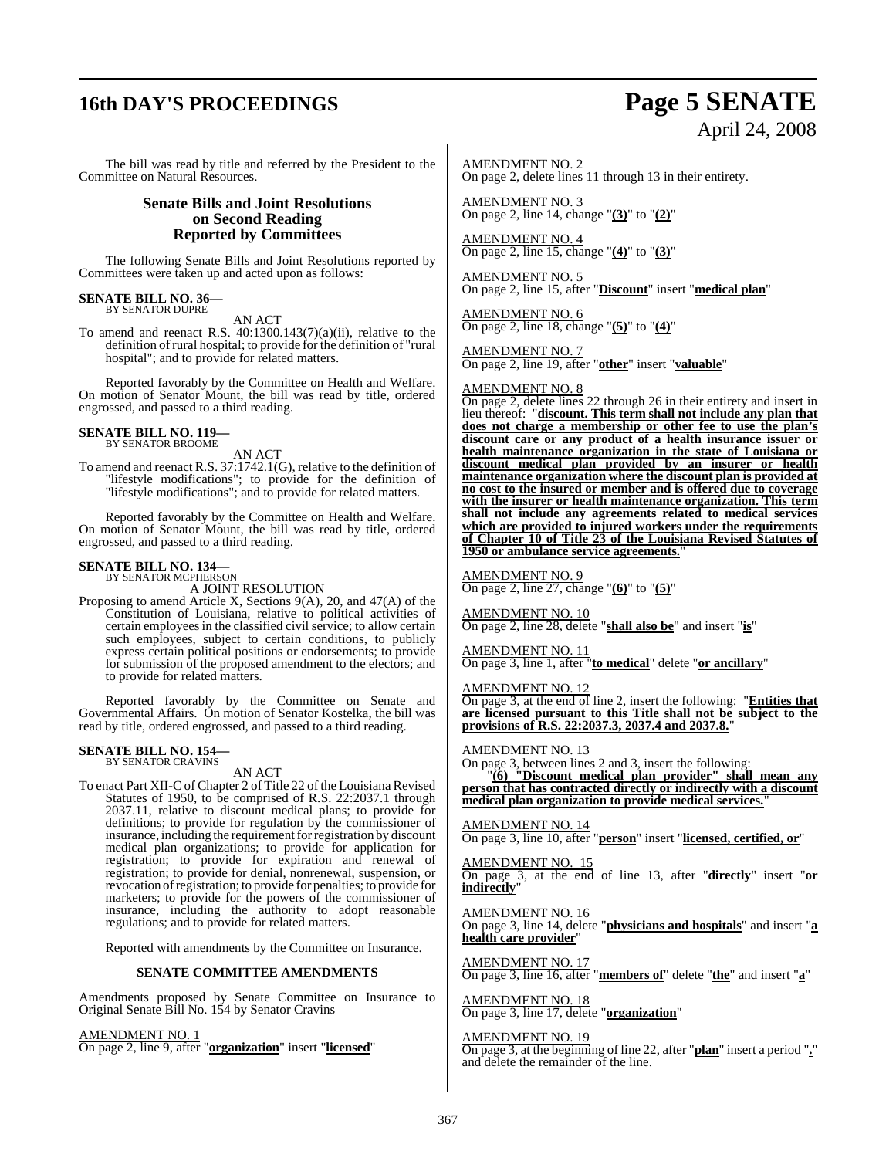# **16th DAY'S PROCEEDINGS Page 5 SENATE**

# April 24, 2008

The bill was read by title and referred by the President to the Committee on Natural Resources.

#### **Senate Bills and Joint Resolutions on Second Reading Reported by Committees**

The following Senate Bills and Joint Resolutions reported by Committees were taken up and acted upon as follows:

## **SENATE BILL NO. 36—** BY SENATOR DUPRE

AN ACT

To amend and reenact R.S. 40:1300.143(7)(a)(ii), relative to the definition ofrural hospital; to provide for the definition of "rural hospital"; and to provide for related matters.

Reported favorably by the Committee on Health and Welfare. On motion of Senator Mount, the bill was read by title, ordered engrossed, and passed to a third reading.

#### **SENATE BILL NO. 119—** BY SENATOR BROOME

AN ACT

To amend and reenact R.S. 37:1742.1(G), relative to the definition of "lifestyle modifications"; to provide for the definition of "lifestyle modifications"; and to provide for related matters.

Reported favorably by the Committee on Health and Welfare. On motion of Senator Mount, the bill was read by title, ordered engrossed, and passed to a third reading.

#### **SENATE BILL NO. 134—**

BY SENATOR MCPHERSON A JOINT RESOLUTION

Proposing to amend Article X, Sections 9(A), 20, and 47(A) of the Constitution of Louisiana, relative to political activities of certain employees in the classified civil service; to allow certain such employees, subject to certain conditions, to publicly express certain political positions or endorsements; to provide for submission of the proposed amendment to the electors; and to provide for related matters.

Reported favorably by the Committee on Senate and Governmental Affairs. On motion of Senator Kostelka, the bill was read by title, ordered engrossed, and passed to a third reading.

## **SENATE BILL NO. 154—** BY SENATOR CRAVINS

AN ACT

To enact Part XII-C of Chapter 2 of Title 22 of the Louisiana Revised Statutes of 1950, to be comprised of R.S. 22:2037.1 through 2037.11, relative to discount medical plans; to provide for definitions; to provide for regulation by the commissioner of insurance, including the requirement for registration by discount medical plan organizations; to provide for application for registration; to provide for expiration and renewal of registration; to provide for denial, nonrenewal, suspension, or revocation ofregistration; to provide for penalties; to provide for marketers; to provide for the powers of the commissioner of insurance, including the authority to adopt reasonable regulations; and to provide for related matters.

Reported with amendments by the Committee on Insurance.

#### **SENATE COMMITTEE AMENDMENTS**

Amendments proposed by Senate Committee on Insurance to Original Senate Bill No. 154 by Senator Cravins

AMENDMENT NO. 1 On page 2, line 9, after "**organization**" insert "**licensed**" AMENDMENT NO. 2 On page 2, delete lines 11 through 13 in their entirety.

AMENDMENT NO. 3 On page 2, line 14, change "**(3)**" to "**(2)**"

AMENDMENT NO. 4 On page 2, line 15, change "**(4)**" to "**(3)**"

AMENDMENT NO. 5 On page 2, line 15, after "**Discount**" insert "**medical plan**"

AMENDMENT NO. 6 On page 2, line 18, change "**(5)**" to "**(4)**"

AMENDMENT NO. 7 On page 2, line 19, after "**other**" insert "**valuable**"

#### AMENDMENT NO. 8

On page 2, delete lines 22 through 26 in their entirety and insert in lieu thereof: "**discount. This term shall not include any plan that does not charge a membership or other fee to use the plan's discount care or any product of a health insurance issuer or health maintenance organization in the state of Louisiana or discount medical plan provided by an insurer or health maintenance organization where the discount plan is provided at no cost to the insured or member and is offered due to coverage with the insurer or health maintenance organization. This term shall not include any agreements related to medical services which are provided to injured workers under the requirements of Chapter 10 of Title 23 of the Louisiana Revised Statutes of 1950 or ambulance service agreements.**"

#### AMENDMENT NO. 9

On page 2, line 27, change "**(6)**" to "**(5)**"

AMENDMENT NO. 10 On page 2, line 28, delete "**shall also be**" and insert "**is**"

AMENDMENT NO. 11 On page 3, line 1, after "**to medical**" delete "**or ancillary**"

AMENDMENT NO. 12

On page 3, at the end of line 2, insert the following: "**Entities that are licensed pursuant to this Title shall not be subject to the provisions of R.S. 22:2037.3, 2037.4 and 2037.8.**"

#### AMENDMENT NO. 13

On page 3, between lines 2 and 3, insert the following:

"**(6) "Discount medical plan provider" shall mean any person that has contracted directly or indirectly with a discount medical plan organization to provide medical services.**"

AMENDMENT NO. 14 On page 3, line 10, after "**person**" insert "**licensed, certified, or**"

AMENDMENT NO. 15 On page 3, at the end of line 13, after "**directly**" insert "**or indirectly**"

AMENDMENT NO. 16 On page 3, line 14, delete "**physicians and hospitals**" and insert "**a health care provider**"

AMENDMENT NO. 17 On page 3, line 16, after "**members of**" delete "**the**" and insert "**a**"

AMENDMENT NO. 18 On page 3, line 17, delete "**organization**"

#### AMENDMENT NO. 19

On page 3, at the beginning of line 22, after "**plan**" insert a period "**.**" and delete the remainder of the line.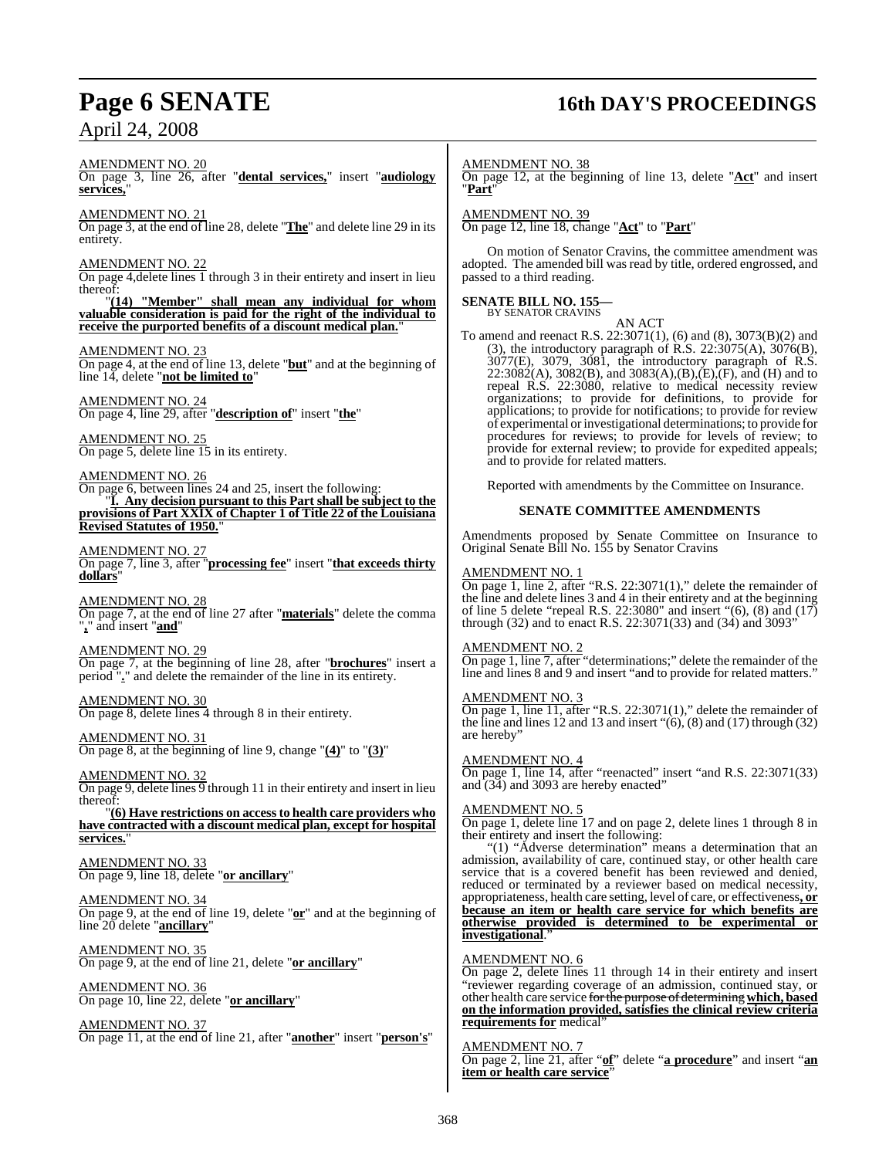# **Page 6 SENATE 16th DAY'S PROCEEDINGS**

AMENDMENT NO. 20

On page 3, line 26, after "**dental services,**" insert "**audiology services,**"

AMENDMENT NO. 21

On page 3, at the end of line 28, delete "**The**" and delete line 29 in its entirety.

#### AMENDMENT NO. 22

On page 4,delete lines 1 through 3 in their entirety and insert in lieu thereof:

"**(14) "Member" shall mean any individual for whom valuable consideration is paid for the right of the individual to receive the purported benefits of a discount medical plan.**"

#### AMENDMENT NO. 23

On page 4, at the end of line 13, delete "**but**" and at the beginning of line 14, delete "**not be limited to**"

AMENDMENT NO. 24 On page 4, line 29, after "**description of**" insert "**the**"

AMENDMENT NO. 25 On page 5, delete line 15 in its entirety.

AMENDMENT NO. 26 On page 6, between lines 24 and 25, insert the following: "**I. Any decision pursuant to this Part shall be subject to the provisions of Part XXIX of Chapter 1 of Title 22 of the Louisiana Revised Statutes of 1950.**"

AMENDMENT NO. 27 On page 7, line 3, after "**processing fee**" insert "**that exceeds thirty dollars**"

AMENDMENT NO. 28 On page 7, at the end of line 27 after "**materials**" delete the comma "**,**" and insert "**and**"

### AMENDMENT NO. 29

On page 7, at the beginning of line 28, after "**brochures**" insert a period "**.**" and delete the remainder of the line in its entirety.

AMENDMENT NO. 30 On page 8, delete lines 4 through 8 in their entirety.

#### AMENDMENT NO. 31

On page 8, at the beginning of line 9, change "**(4)**" to "**(3)**"

### AMENDMENT NO. 32

On page 9, delete lines 9 through 11 in their entirety and insert in lieu thereof:

"**(6) Have restrictions on accessto health care providers who have contracted with a discount medical plan, except for hospital** services.

AMENDMENT NO. 33 On page 9, line 18, delete "**or ancillary**"

#### AMENDMENT NO. 34

On page 9, at the end of line 19, delete "**or**" and at the beginning of line 20 delete "**ancillary**"

AMENDMENT NO. 35 On page 9, at the end of line 21, delete "**or ancillary**"

AMENDMENT NO. 36 On page 10, line 22, delete "**or ancillary**"

AMENDMENT NO. 37 On page 11, at the end of line 21, after "**another**" insert "**person's**" AMENDMENT NO. 38

On page 12, at the beginning of line 13, delete "**Act**" and insert "**Part**"

#### AMENDMENT NO. 39 On page 12, line 18, change "**Act**" to "**Part**"

On motion of Senator Cravins, the committee amendment was adopted. The amended bill was read by title, ordered engrossed, and passed to a third reading.

## **SENATE BILL NO. 155—** BY SENATOR CRAVINS

AN ACT To amend and reenact R.S. 22:3071(1), (6) and (8), 3073(B)(2) and (3), the introductory paragraph of R.S. 22:3075(A), 3076(B), 3077(E), 3079, 3081, the introductory paragraph of R.S. 22:3082(A), 3082(B), and 3083(A),(B),(E),(F), and (H) and to repeal R.S. 22:3080, relative to medical necessity review organizations; to provide for definitions, to provide for applications; to provide for notifications; to provide for review of experimental orinvestigational determinations; to provide for procedures for reviews; to provide for levels of review; to provide for external review; to provide for expedited appeals; and to provide for related matters.

Reported with amendments by the Committee on Insurance.

#### **SENATE COMMITTEE AMENDMENTS**

Amendments proposed by Senate Committee on Insurance to Original Senate Bill No. 155 by Senator Cravins

#### AMENDMENT NO. 1

On page 1, line 2, after "R.S. 22:3071(1)," delete the remainder of the line and delete lines 3 and 4 in their entirety and at the beginning of line 5 delete "repeal R.S. 22:3080" and insert "(6), (8) and (17) through (32) and to enact R.S. 22:3071(33) and (34) and 3093"

#### AMENDMENT NO. 2

On page 1, line 7, after "determinations;" delete the remainder of the line and lines 8 and 9 and insert "and to provide for related matters."

#### AMENDMENT NO. 3

On page 1, line 11, after "R.S. 22:3071(1)," delete the remainder of the line and lines 12 and 13 and insert  $\cdot\cdot(6)$ , (8) and (17) through (32) are hereby"

#### AMENDMENT NO. 4

On page 1, line 14, after "reenacted" insert "and R.S. 22:3071(33) and (34) and 3093 are hereby enacted"

#### AMENDMENT NO. 5

On page 1, delete line 17 and on page 2, delete lines 1 through 8 in their entirety and insert the following:

"(1) "Adverse determination" means a determination that an admission, availability of care, continued stay, or other health care service that is a covered benefit has been reviewed and denied, reduced or terminated by a reviewer based on medical necessity, appropriateness, health care setting, level of care, or effectiveness**, or because an item or health care service for which benefits are otherwise provided is determined to be experimental or investigational**."

#### AMENDMENT NO. 6

On page 2, delete lines 11 through 14 in their entirety and insert "reviewer regarding coverage of an admission, continued stay, or other health care service forthe purpose of determining**which, based on the information provided, satisfies the clinical review criteria requirements for** medical"

#### AMENDMENT NO. 7

On page 2, line 21, after "**of**" delete "**a procedure**" and insert "**an item or health care service**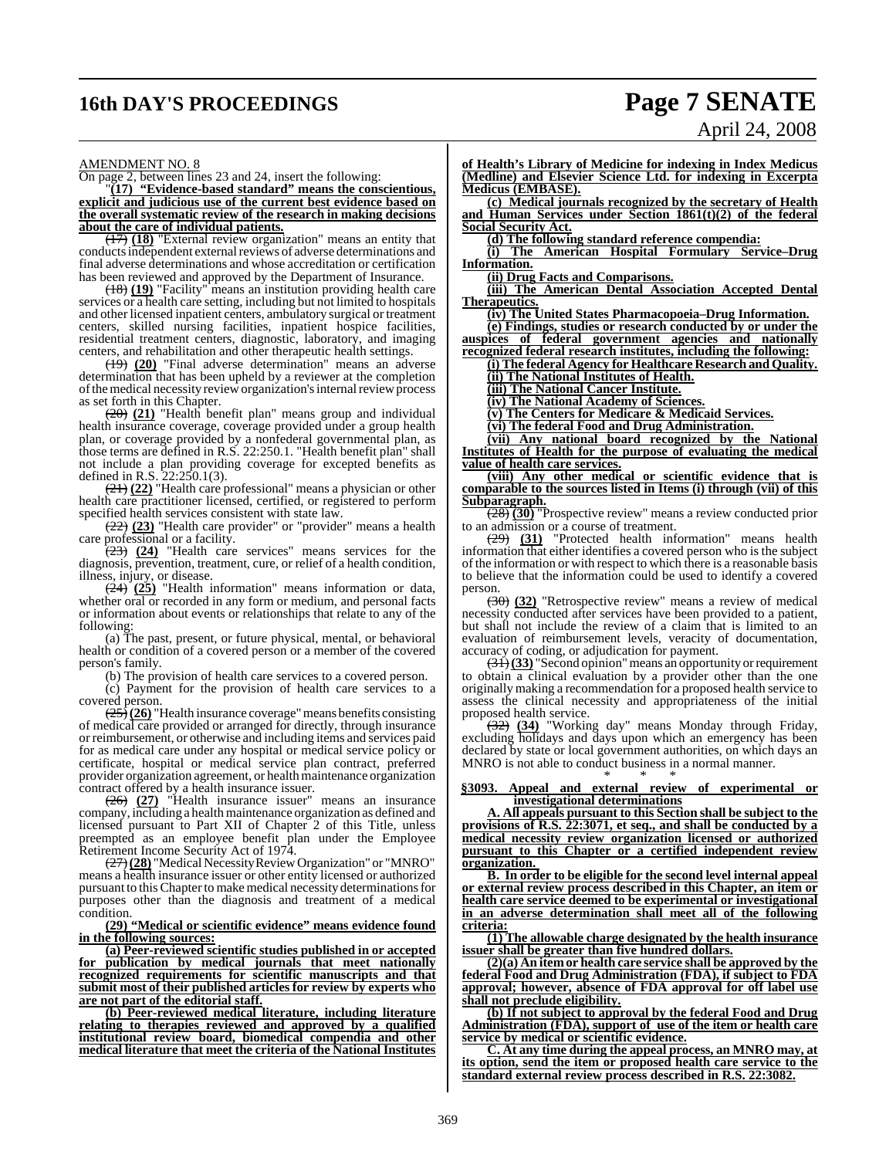# **16th DAY'S PROCEEDINGS Page 7 SENATE**

# April 24, 2008

#### AMENDMENT NO. 8

On page 2, between lines 23 and 24, insert the following:

"**(17) "Evidence-based standard" means the conscientious, explicit and judicious use of the current best evidence based on the overall systematic review of the research in making decisions about the care of individual patients.**

(17) **(18)** "External review organization" means an entity that conducts independent external reviews of adverse determinations and final adverse determinations and whose accreditation or certification has been reviewed and approved by the Department of Insurance.

(18) **(19)** "Facility" means an institution providing health care services or a health care setting, including but not limited to hospitals and other licensed inpatient centers, ambulatory surgical or treatment centers, skilled nursing facilities, inpatient hospice facilities, residential treatment centers, diagnostic, laboratory, and imaging centers, and rehabilitation and other therapeutic health settings.

(19) **(20)** "Final adverse determination" means an adverse determination that has been upheld by a reviewer at the completion of the medical necessity review organization's internal review process as set forth in this Chapter.

(20) **(21)** "Health benefit plan" means group and individual health insurance coverage, coverage provided under a group health plan, or coverage provided by a nonfederal governmental plan, as those terms are defined in R.S. 22:250.1. "Health benefit plan" shall not include a plan providing coverage for excepted benefits as defined in R.S. 22:250.1(3).

(21) **(22)** "Health care professional" means a physician or other health care practitioner licensed, certified, or registered to perform specified health services consistent with state law.

(22) **(23)** "Health care provider" or "provider" means a health care professional or a facility.

(23) **(24)** "Health care services" means services for the diagnosis, prevention, treatment, cure, or relief of a health condition, illness, injury, or disease.

(24) **(25)** "Health information" means information or data, whether oral or recorded in any form or medium, and personal facts or information about events or relationships that relate to any of the following:

(a) The past, present, or future physical, mental, or behavioral health or condition of a covered person or a member of the covered person's family.

(b) The provision of health care services to a covered person.

(c) Payment for the provision of health care services to a covered person.

(25)**(26)** "Health insurance coverage"means benefits consisting of medical care provided or arranged for directly, through insurance or reimbursement, or otherwise and including items and services paid for as medical care under any hospital or medical service policy or certificate, hospital or medical service plan contract, preferred provider organization agreement, or health maintenance organization contract offered by a health insurance issuer.

(26) **(27)** "Health insurance issuer" means an insurance company, including a health maintenance organization as defined and licensed pursuant to Part XII of Chapter 2 of this Title, unless preempted as an employee benefit plan under the Employee Retirement Income Security Act of 1974.

(27)**(28)** "Medical Necessity Review Organization" or "MNRO" means a health insurance issuer or other entity licensed or authorized pursuant to this Chapter to make medical necessity determinations for purposes other than the diagnosis and treatment of a medical condition.

#### **(29) "Medical or scientific evidence" means evidence found in the following sources:**

**(a) Peer-reviewed scientific studies published in or accepted for publication by medical journals that meet nationally recognized requirements for scientific manuscripts and that submit most of their published articles for review by experts who are not part of the editorial staff.**

**(b) Peer-reviewed medical literature, including literature relating to therapies reviewed and approved by a qualified institutional review board, biomedical compendia and other medical literature that meet the criteria of the National Institutes**

**of Health's Library of Medicine for indexing in Index Medicus (Medline) and Elsevier Science Ltd. for indexing in Excerpta Medicus (EMBASE).**

**(c) Medical journals recognized by the secretary of Health and Human Services under Section 1861(t)(2) of the federal Social Security Act.**

**(d) The following standard reference compendia:**

**(i) The American Hospital Formulary Service–Drug Information.**

**(ii) Drug Facts and Comparisons.**

**(iii) The American Dental Association Accepted Dental Therapeutics.**

**(iv) The United States Pharmacopoeia–Drug Information.**

**(e) Findings, studies or research conducted by or under the auspices of federal government agencies and nationally**

**recognized federal research institutes, including the following: (i) The federal Agency for Healthcare Research and Quality.**

**(ii) The National Institutes of Health.**

**(iii) The National Cancer Institute.**

**(iv) The National Academy of Sciences.**

**(v) The Centers for Medicare & Medicaid Services.**

**(vi) The federal Food and Drug Administration. (vii) Any national board recognized by the National**

**Institutes of Health for the purpose of evaluating the medical value of health care services.**

**(viii) Any other medical or scientific evidence that is comparable to the sources listed in Items (i) through (vii) of this Subparagraph.**

(28) **(30)** "Prospective review" means a review conducted prior to an admission or a course of treatment.

(29) **(31)** "Protected health information" means health information that either identifies a covered person who is the subject ofthe information or with respect to which there is a reasonable basis to believe that the information could be used to identify a covered person.

(30) **(32)** "Retrospective review" means a review of medical necessity conducted after services have been provided to a patient, but shall not include the review of a claim that is limited to an evaluation of reimbursement levels, veracity of documentation, accuracy of coding, or adjudication for payment.

(31)**(33)** "Second opinion"means an opportunity orrequirement to obtain a clinical evaluation by a provider other than the one originallymaking a recommendation for a proposed health service to assess the clinical necessity and appropriateness of the initial proposed health service.

(32) **(34)** "Working day" means Monday through Friday, excluding holidays and days upon which an emergency has been declared by state or local government authorities, on which days an MNRO is not able to conduct business in a normal manner. \* \* \*

#### **§3093. Appeal and external review of experimental or investigational determinations**

**A. All appeals pursuant to this Section shall be subject to the provisions of R.S. 22:3071, et seq., and shall be conducted by a medical necessity review organization licensed or authorized pursuant to this Chapter or a certified independent review organization.** 

**B. In order to be eligible for the second level internal appeal or external review process described in this Chapter, an item or health care service deemed to be experimental or investigational in an adverse determination shall meet all of the following criteria:**

**(1) The allowable charge designated by the health insurance issuer shall be greater than five hundred dollars.**

**(2)(a) An item or health care service shall be approved by the federal Food and Drug Administration (FDA), if subject to FDA approval; however, absence of FDA approval for off label use shall not preclude eligibility.**

**(b) If not subject to approval by the federal Food and Drug Administration (FDA), support of use of the item or health care service by medical or scientific evidence.**

**C. At any time during the appeal process, an MNRO may, at its option, send the item or proposed health care service to the standard external review process described in R.S. 22:3082.**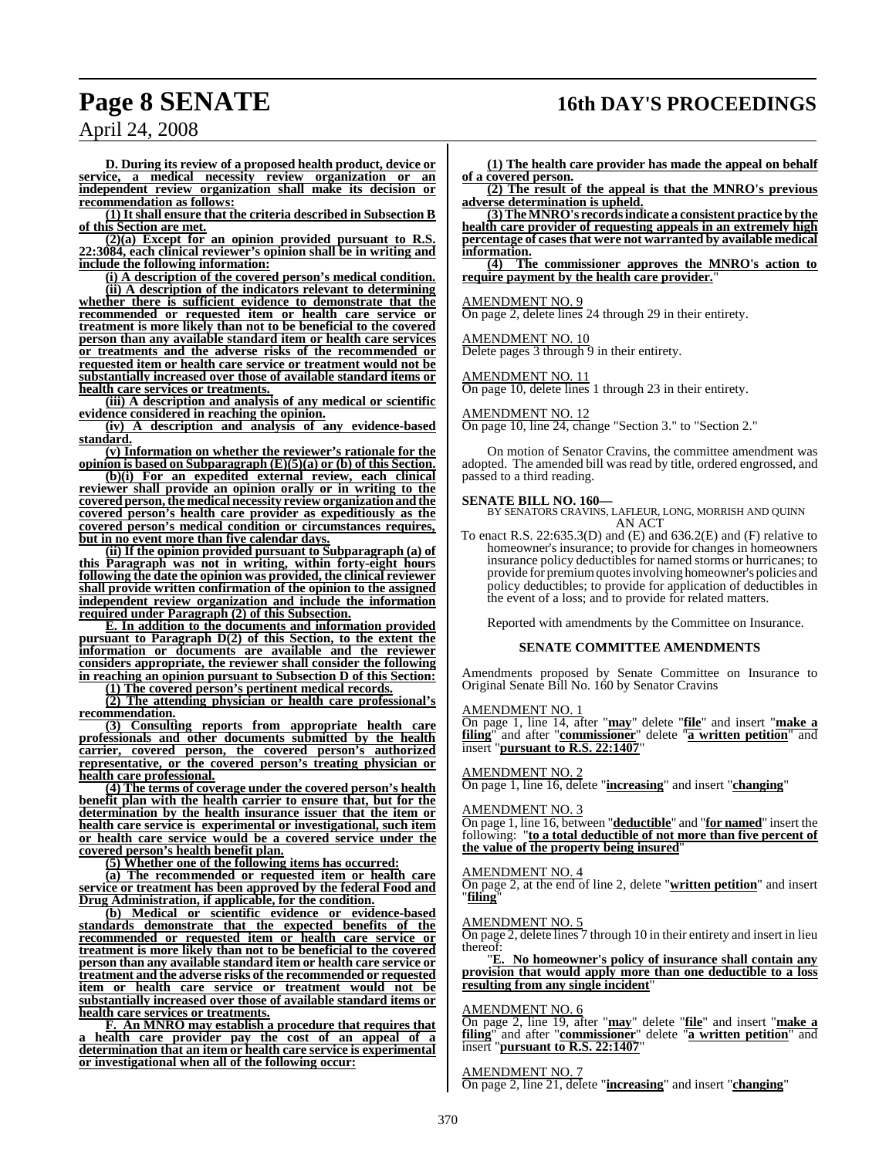## **Page 8 SENATE 16th DAY'S PROCEEDINGS**

**D. During its review of a proposed health product, device or service, a medical necessity review organization or an independent review organization shall make its decision or recommendation as follows:**

**(1) It shall ensure that the criteria described in Subsection B of this Section are met.**

**(2)(a) Except for an opinion provided pursuant to R.S. 22:3084, each clinical reviewer's opinion shall be in writing and include the following information:**

**(i) A description of the covered person's medical condition.**

**(ii) A description of the indicators relevant to determining whether there is sufficient evidence to demonstrate that the recommended or requested item or health care service or treatment is more likely than not to be beneficial to the covered person than any available standard item or health care services or treatments and the adverse risks of the recommended or requested item or health care service or treatment would not be substantially increased over those of available standard items or health care services or treatments.** 

**(iii) A description and analysis of any medical or scientific evidence considered in reaching the opinion.**

**(iv) A description and analysis of any evidence-based standard.**

**(v) Information on whether the reviewer's rationale for the opinion is based on Subparagraph (E)(5)(a) or (b) of this Section.**

**(b)(i) For an expedited external review, each clinical reviewer shall provide an opinion orally or in writing to the covered person,the medical necessity review organizationandthe covered person's health care provider as expeditiously as the covered person's medical condition or circumstances requires, but in no event more than five calendar days.**

**(ii) If the opinion provided pursuant to Subparagraph (a) of this Paragraph was not in writing, within forty-eight hours following the date the opinion was provided, the clinical reviewer shall provide written confirmation of the opinion to the assigned independent review organization and include the information required under Paragraph (2) of this Subsection.**

**E. In addition to the documents and information provided pursuant to Paragraph D(2) of this Section, to the extent the information or documents are available and the reviewer considers appropriate, the reviewer shall consider the following in reaching an opinion pursuant to Subsection D of this Section:**

**(1) The covered person's pertinent medical records. (2) The attending physician or health care professional's**

**recommendation.**

**(3) Consulting reports from appropriate health care professionals and other documents submitted by the health carrier, covered person, the covered person's authorized representative, or the covered person's treating physician or health care professional.**

**(4) The terms of coverage under the covered person's health benefit plan with the health carrier to ensure that, but for the determination by the health insurance issuer that the item or health care service is experimental or investigational, such item or health care service would be a covered service under the covered person's health benefit plan.**

**(5) Whether one of the following items has occurred:**

**(a) The recommended or requested item or health care service or treatment has been approved by the federal Food and Drug Administration, if applicable, for the condition.**

**(b) Medical or scientific evidence or evidence-based standards demonstrate that the expected benefits of the recommended or requested item or health care service or treatment is more likely than not to be beneficial to the covered person than any available standard item or health care service or treatment and the adverse risks of the recommended or requested item or health care service or treatment would not be substantially increased over those of available standard items or health care services or treatments.**

**F. An MNRO may establish a procedure that requires that a health care provider pay the cost of an appeal of a determination that an item or health care service is experimental or investigational when all of the following occur:**

**(1) The health care provider has made the appeal on behalf of a covered person.**

**(2) The result of the appeal is that the MNRO's previous adverse determination is upheld.**

**(3)TheMNRO's recordsindicate a consistent practice by the health care provider of requesting appeals in an extremely high percentage of casesthat were not warranted by available medical information.**

**(4) The commissioner approves the MNRO's action to require payment by the health care provider.**"

#### AMENDMENT NO. 9

On page 2, delete lines 24 through 29 in their entirety.

#### AMENDMENT NO. 10

Delete pages 3 through 9 in their entirety.

#### AMENDMENT NO. 11

On page 10, delete lines 1 through 23 in their entirety.

#### AMENDMENT NO. 12

On page 10, line 24, change "Section 3." to "Section 2."

On motion of Senator Cravins, the committee amendment was adopted. The amended bill was read by title, ordered engrossed, and passed to a third reading.

**SENATE BILL NO. 160—** BY SENATORS CRAVINS, LAFLEUR, LONG, MORRISH AND QUINN AN ACT

To enact R.S.  $22:635.3(D)$  and  $(E)$  and  $636.2(E)$  and  $(F)$  relative to homeowner's insurance; to provide for changes in homeowners insurance policy deductibles for named storms or hurricanes; to provide for premiumquotes involving homeowner's policies and policy deductibles; to provide for application of deductibles in the event of a loss; and to provide for related matters.

Reported with amendments by the Committee on Insurance.

#### **SENATE COMMITTEE AMENDMENTS**

Amendments proposed by Senate Committee on Insurance to Original Senate Bill No. 160 by Senator Cravins

#### **AMENDMENT NO.**

On page 1, line 14, after "**may**" delete "**file**" and insert "**make a filing**" and after "**commissioner**" delete "**a written petition**" and insert "**pursuant to R.S. 22:1407**"

#### AMENDMENT NO. 2

On page 1, line 16, delete "**increasing**" and insert "**changing**"

#### AMENDMENT NO. 3

On page 1, line 16, between "**deductible**" and "**for named**" insert the following: "**to a total deductible of not more than five percent of the value of the property being insured**"

#### AMENDMENT NO. 4

On page 2, at the end of line 2, delete "**written petition**" and insert "**filing**"

#### AMENDMENT NO. 5

On page 2, delete lines 7 through 10 in their entirety and insert in lieu thereof:<br>E.

"**E. No homeowner's policy of insurance shall contain any provision that would apply more than one deductible to a loss resulting from any single incident**"

#### AMENDMENT NO. 6

On page 2, line 19, after "**may**" delete "**file**" and insert "**make a filing**" and after "**commissioner**" delete "**a written petition**" and insert "**pursuant to R.S. 22:1407**"

#### AMENDMENT NO. 7

On page 2, line 21, delete "**increasing**" and insert "**changing**"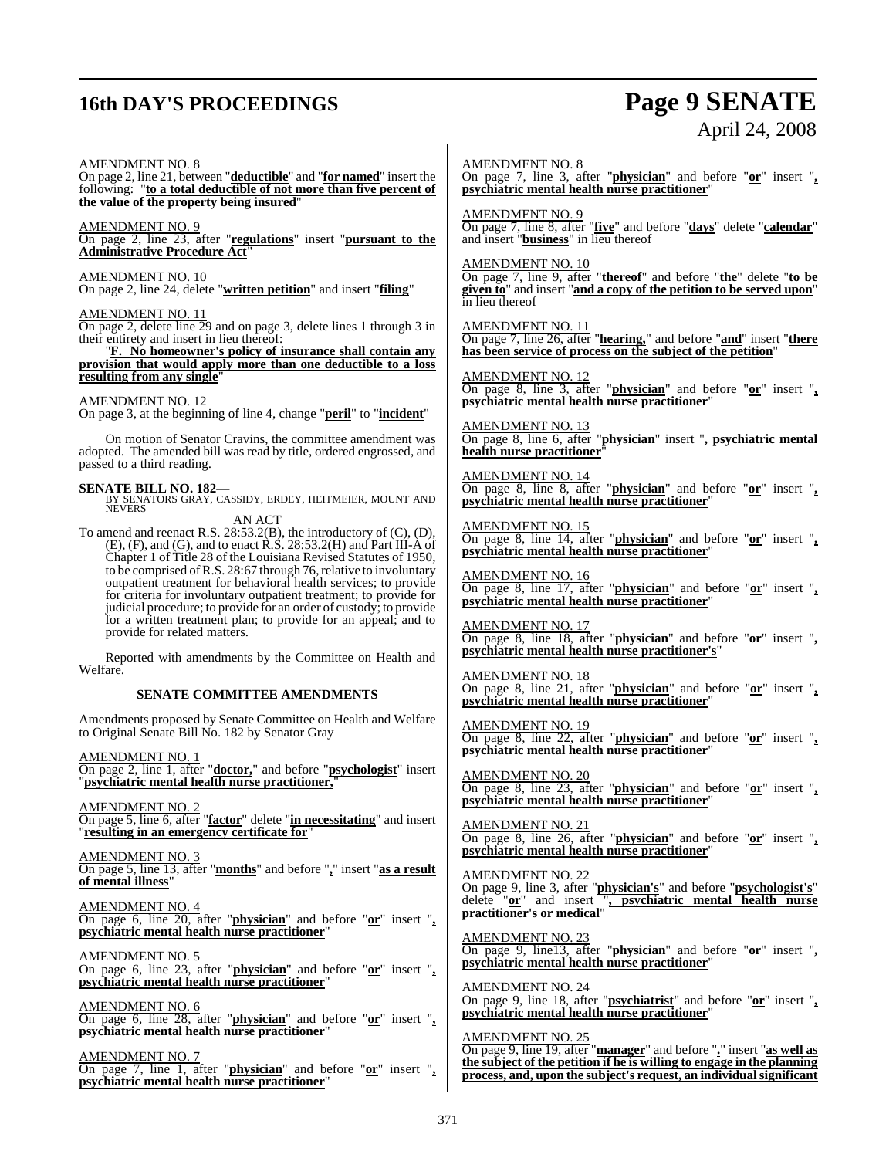## **16th DAY'S PROCEEDINGS Page 9 SENATE**

# April 24, 2008

#### AMENDMENT NO. 8

On page 2, line 21, between "**deductible**" and "**for named**" insert the following: "**to a total deductible of not more than five percent of the value of the property being insured**"

#### AMENDMENT NO. 9

On page 2, line 23, after "**regulations**" insert "**pursuant to the Administrative Procedure Act**"

#### AMENDMENT NO. 10

On page 2, line 24, delete "**written petition**" and insert "**filing**"

#### AMENDMENT NO. 11

On page 2, delete line 29 and on page 3, delete lines 1 through 3 in their entirety and insert in lieu thereof:

"**F. No homeowner's policy of insurance shall contain any provision that would apply more than one deductible to a loss resulting from any single** 

#### AMENDMENT NO. 12

On page 3, at the beginning of line 4, change "**peril**" to "**incident**"

On motion of Senator Cravins, the committee amendment was adopted. The amended bill was read by title, ordered engrossed, and passed to a third reading.

**SENATE BILL NO. 182—** BY SENATORS GRAY, CASSIDY, ERDEY, HEITMEIER, MOUNT AND **NEVERS** 

AN ACT To amend and reenact R.S. 28:53.2(B), the introductory of (C), (D), (E), (F), and (G), and to enact R.S. 28:53.2(H) and Part III-A of Chapter 1 of Title 28 of the Louisiana Revised Statutes of 1950, to be comprised of R.S. 28:67 through 76, relative to involuntary outpatient treatment for behavioral health services; to provide for criteria for involuntary outpatient treatment; to provide for judicial procedure; to provide for an order of custody; to provide for a written treatment plan; to provide for an appeal; and to provide for related matters.

Reported with amendments by the Committee on Health and Welfare.

#### **SENATE COMMITTEE AMENDMENTS**

Amendments proposed by Senate Committee on Health and Welfare to Original Senate Bill No. 182 by Senator Gray

AMENDMENT NO. 1 On page 2, line 1, after "**doctor,**" and before "**psychologist**" insert "**psychiatric mental health nurse practitioner,**"

AMENDMENT NO. 2 On page 5, line 6, after "**factor**" delete "**in necessitating**" and insert "**resulting in an emergency certificate for**"

AMENDMENT NO. 3 On page 5, line 13, after "**months**" and before "**,**" insert "**as a result of mental illness**"

AMENDMENT NO. 4 On page 6, line 20, after "**physician**" and before "**or**" insert "**, psychiatric mental health nurse practitioner**"

AMENDMENT NO. 5 On page 6, line 23, after "**physician**" and before "**or**" insert "**, psychiatric mental health nurse practitioner**"

AMENDMENT NO. 6 On page 6, line 28, after "**physician**" and before "**or**" insert "**, psychiatric mental health nurse practitioner**"

AMENDMENT NO. 7 On page 7, line 1, after "**physician**" and before "**or**" insert "**, psychiatric mental health nurse practitioner**"

AMENDMENT NO. 8

On page 7, line 3, after "**physician**" and before "**or**" insert "**, psychiatric mental health nurse practitioner**"

AMENDMENT NO. 9

On page 7, line 8, after "**five**" and before "**days**" delete "**calendar**" and insert "**business**" in lieu thereof

#### AMENDMENT NO. 10

On page 7, line 9, after "**thereof**" and before "**the**" delete "**to be given to**" and insert "**and a copy of the petition to be served upon**" in lieu thereof

AMENDMENT NO. 11

On page 7, line 26, after "**hearing,**" and before "**and**" insert "**there has been service of process on the subject of the petition**"

AMENDMENT NO. 12 On page 8, line 3, after "**physician**" and before "**or**" insert "**, psychiatric mental health nurse practitioner**"

AMENDMENT NO. 13 On page 8, line 6, after "**physician**" insert "**, psychiatric mental health nurse practitioner**"

AMENDMENT NO. 14 On page 8, line 8, after "**physician**" and before "**or**" insert "**, psychiatric mental health nurse practitioner**"

AMEN<u>DMENT NO. 15</u> On page 8, line 14, after "**physician**" and before "**or**" insert "**, psychiatric mental health nurse practitioner**"

AMENDMENT NO. 16 On page 8, line 17, after "**physician**" and before "**or**" insert "**, psychiatric mental health nurse practitioner**"

AMENDMENT NO. 17 On page 8, line 18, after "**physician**" and before "**or**" insert "**, psychiatric mental health nurse practitioner's**"

AMENDMENT NO. 18 On page 8, line 21, after "**physician**" and before "**or**" insert "**, psychiatric mental health nurse practitioner**"

AMENDMENT NO. 19 On page 8, line 22, after "**physician**" and before "**or**" insert "**, psychiatric mental health nurse practitioner**"

AMENDMENT NO. 20 On page 8, line 23, after "**physician**" and before "**or**" insert "**, psychiatric mental health nurse practitioner**"

AMENDMENT NO. 21 On page 8, line 26, after "**physician**" and before "**or**" insert "**, psychiatric mental health nurse practitioner**"

AMENDMENT NO. 22 On page 9, line 3, after "**physician's**" and before "**psychologist's**" delete "**or**" and insert "**, psychiatric mental health nurse practitioner's or medical**"

AMENDMENT NO. 23 On page 9, line13, after "**physician**" and before "**or**" insert "**, psychiatric mental health nurse practitioner**"

AMENDMENT NO. 24 On page 9, line 18, after "**psychiatrist**" and before "**or**" insert "**, psychiatric mental health nurse practitioner**"

AMENDMENT NO. 25 On page 9, line 19, after "**manager**" and before "**.**" insert "**as well as the subject of the petition if he is willing to engage in the planning process, and, upon the subject's request, an individualsignificant**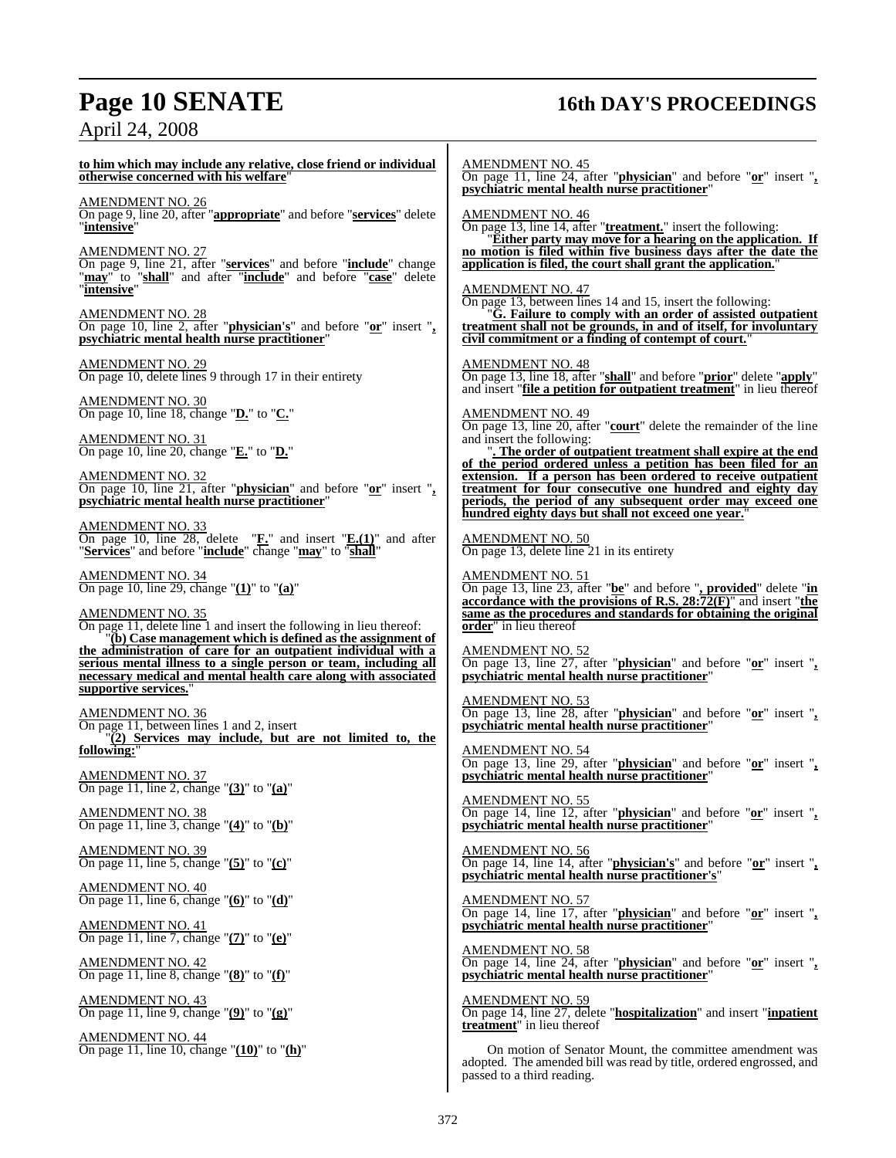# **Page 10 SENATE 16th DAY'S PROCEEDINGS** April 24, 2008

| to him which may include any relative, close friend or individual<br>otherwise concerned with his welfare"<br>AMENDMENT NO. 26<br>On page 9, line 20, after " <b>appropriate</b> " and before " <b>services</b> " delete<br>"intensive"<br>AMENDMENT NO. 27<br>On page 9, line 21, after "services" and before "include" change<br>"may" to "shall" and after "include" and before "case" delete<br><b>AMENDMENT NO. 28</b><br>On page 10, line 2, after "physician's" and before "or" insert ", psychiatric mental health nurse practitioner"<br><b>AMENDMENT NO. 29</b><br>On page 10, delete lines 9 through 17 in their entirety<br><b>AMENDMENT NO. 30</b><br>On page 10, line 18, change " $D$ " to " $C$ ."<br>$\frac{\text{AMENDMENT NO. 31}}{\text{On page 10, line 20, change "E."}}$ to " $\text{D."}$<br>$\frac{\text{AMENDMENT NO. 32}}{\text{On page 10, line 21, after "physical" and before "or" insert ",}$<br>psychiatric mental health nurse practitioner"<br><b>AMENDMENT NO. 33</b><br><b>Compage 10, line 28, delete</b> " $\underline{\mathbf{F}}$ " and insert " $\underline{\mathbf{E}}$ .(1)" and after "Services" and before "include" change " $\overline{\text{max}}$ " to "shall"<br><b>AMENDMENT NO. 34</b><br>On page 10, line 29, change " $(1)$ " to " $(a)$ "<br><b>AMENDMENT NO. 35</b><br>On page 11, delete line 1 and insert the following in lieu thereof:<br>"(b) Case management which is defined as the assignment of<br>the administration of care for an outpatient individual with a<br>serious mental illness to a single person or team, including all<br>necessary medical and mental health care along with associated<br>supportive services.'<br><u>AMENDMENT NO. 36</u><br>On page 11, between lines 1 and 2, insert<br>$\Gamma(2)$ Services may include, but are not limited to, the<br>following:"<br><b>AMENDMENT NO. 37</b> | AMENDMENT NO. 45<br>On page 11, line 24, after " <b>physician</b> " and before " $or$ " insert " <sub>2</sub><br><b>psychiatric mental health nurse practitioner</b> "<br><b>AMENDMENT NO. 46</b><br>On page 13, line 14, after "treatment." insert the following:<br>"Either party may move for a hearing on the application. If<br>no motion is filed within five business days after the date the<br>application is filed, the court shall grant the application.<br><b>AMENDMENT NO. 47</b><br>On page 13, between lines 14 and 15, insert the following:<br>"G. Failure to comply with an order of assisted outpatient<br>treatment shall not be grounds, in and of itself, for involuntary<br>civil commitment or a finding of contempt of court."<br><b>AMENDMENT NO. 48</b><br>On page 13, line 18, after "shall" and before "prior" delete "apply"<br>and insert "file a petition for outpatient treatment" in lieu thereof<br><b>AMENDMENT NO. 49</b><br>On page 13, line 20, after "court" delete the remainder of the line<br>and insert the following:<br>". The order of outpatient treatment shall expire at the end<br>of the period ordered unless a petition has been filed for an<br>extension. If a person has been ordered to receive outpatient<br>treatment for four consecutive one hundred and eighty day<br>periods, the period of any subsequent order may exceed one<br>hundred eighty days but shall not exceed one year.<br><b>AMENDMENT NO. 50</b><br>On page 13, delete line 21 in its entirety<br><b>AMENDMENT NO. 51</b><br>On page 13, line 23, after "be" and before ", provided" delete "in<br>accordance with the provisions of R.S. $28:72(F)$ " and insert "the<br>same as the procedures and standards for obtaining the original<br>order" in lieu thereof<br><b>AMENDMENT NO. 52</b><br>On page 13, line $27$ , after " <b>physician</b> " and before " $or$ " insert ", <b>psychiatric mental health nurse practitioner</b> "<br><b>AMENDMENT NO. 53</b><br>On page 13, line 28, after "physician" and before "or" insert ", psychiatric mental health nurse practitioner"<br><b>AMENDMENT NO. 54</b><br>On page 13, line 29, after "physician" and before " $or$ " insert ", psychiatric mental health nurse practitioner" |
|--------------------------------------------------------------------------------------------------------------------------------------------------------------------------------------------------------------------------------------------------------------------------------------------------------------------------------------------------------------------------------------------------------------------------------------------------------------------------------------------------------------------------------------------------------------------------------------------------------------------------------------------------------------------------------------------------------------------------------------------------------------------------------------------------------------------------------------------------------------------------------------------------------------------------------------------------------------------------------------------------------------------------------------------------------------------------------------------------------------------------------------------------------------------------------------------------------------------------------------------------------------------------------------------------------------------------------------------------------------------------------------------------------------------------------------------------------------------------------------------------------------------------------------------------------------------------------------------------------------------------------------------------------------------------------------------------------------------------------------------------------------------------------------------------------------------------------------------------------------------------------------|-------------------------------------------------------------------------------------------------------------------------------------------------------------------------------------------------------------------------------------------------------------------------------------------------------------------------------------------------------------------------------------------------------------------------------------------------------------------------------------------------------------------------------------------------------------------------------------------------------------------------------------------------------------------------------------------------------------------------------------------------------------------------------------------------------------------------------------------------------------------------------------------------------------------------------------------------------------------------------------------------------------------------------------------------------------------------------------------------------------------------------------------------------------------------------------------------------------------------------------------------------------------------------------------------------------------------------------------------------------------------------------------------------------------------------------------------------------------------------------------------------------------------------------------------------------------------------------------------------------------------------------------------------------------------------------------------------------------------------------------------------------------------------------------------------------------------------------------------------------------------------------------------------------------------------------------------------------------------------------------------------------------------------------------------------------------------------------------------------------------------------------------------------------------------------------------------------------------------------------------------------------------------|
| On page 11, line 2, change " $(3)$ " to " $(a)$ "<br><b>AMENDMENT NO. 38</b><br>On page 11, line 3, change " $(4)$ " to " $(b)$ "<br><b>AMENDMENT NO. 39</b><br>On page 11, line 5, change " $(5)$ " to " $(c)$ "<br>$\frac{\text{AMENDMENT NO. 40}}{\text{On page 11, line 6, change}}$ " $\frac{(6)}{\text{ to }}$ " to " $\frac{d}{d}$ "<br>$\frac{\text{AMENDMENT NO. 41}}{\text{On page 11, line 7, change " (7)"}$ to " $\text{(e)}$ "<br>$\frac{\text{AMENDMENT NO. 42}}{\text{On page 11, line 8, change } \text{"(8)$" to "f$)}$ "<br>$\frac{\text{AMENDMENT NO. 43}}{\text{On page 11, line 9, change } \text{"(9)$" to "(g)$"}$<br>$\frac{\text{AMENDMENT NO. 44}}{\text{On page 11, line 10, change}}$ " $\frac{(10)}{\,}$ " to " $\frac{(h)}{\,}$ "                                                                                                                                                                                                                                                                                                                                                                                                                                                                                                                                                                                                                                                                                                                                                                                                                                                                                                                                                                                                                                                                                                                     | <b>AMENDMENT NO. 55</b><br>On page 14, line 12, after " <b>physician</b> " and before " $or$ " insert " <sub>2</sub><br>psychiatric mental health nurse practitioner"<br>AMENDMENT NO. 56<br>On page 14, line 14, after " <b>physician's</b> " and before " $or$ " insert " <sub>2</sub> psychiatric mental health nurse practitioner's"<br><b>AMENDMENT NO. 57</b><br>On page 14, line 17, after "physician" and before "or" insert ", psychiatric mental health nurse practitioner"<br><b>AMENDMENT NO. 58</b><br>On page 14, line 24, after " <b>physician</b> " and before "or" insert ",<br>psychiatric mental health nurse practitioner"<br><b>AMENDMENT NO. 59</b><br>On page 14, line 27, delete " <b>hospitalization</b> " and insert " <i>inpatient</i><br>treatment" in lieu thereof<br>On motion of Senator Mount, the committee amendment was<br>adopted. The amended bill was read by title, ordered engrossed, and<br>passed to a third reading.                                                                                                                                                                                                                                                                                                                                                                                                                                                                                                                                                                                                                                                                                                                                                                                                                                                                                                                                                                                                                                                                                                                                                                                                                                                                                                         |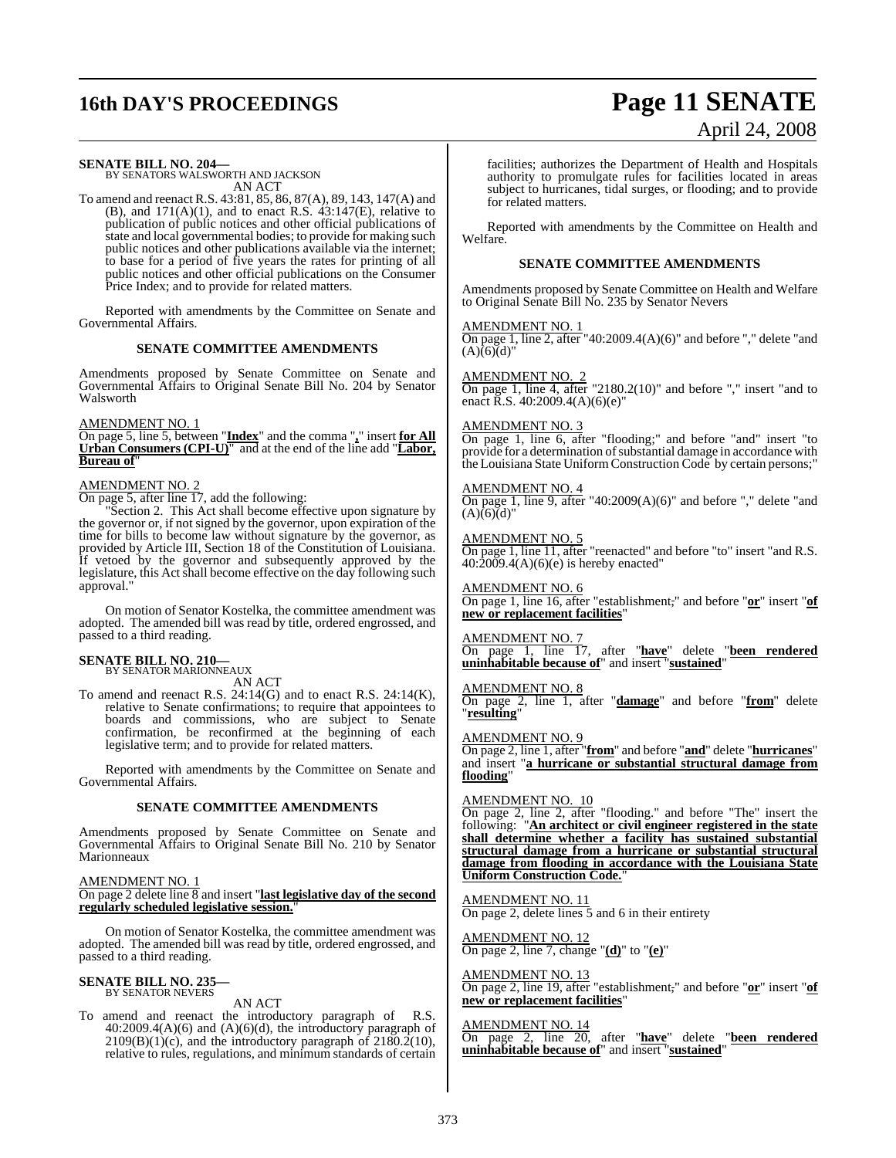# **16th DAY'S PROCEEDINGS Page 11 SENATE**

# April 24, 2008

**SENATE BILL NO. 204—** BY SENATORS WALSWORTH AND JACKSON AN ACT

To amend and reenact R.S. 43:81, 85, 86, 87(A), 89, 143, 147(A) and (B), and  $171(A)(1)$ , and to enact R.S.  $43:147(E)$ , relative to publication of public notices and other official publications of state and local governmental bodies; to provide for making such public notices and other publications available via the internet; to base for a period of five years the rates for printing of all public notices and other official publications on the Consumer Price Index; and to provide for related matters.

Reported with amendments by the Committee on Senate and Governmental Affairs.

#### **SENATE COMMITTEE AMENDMENTS**

Amendments proposed by Senate Committee on Senate and Governmental Affairs to Original Senate Bill No. 204 by Senator Walsworth

#### AMENDMENT NO. 1

On page 5, line 5, between "**Index**" and the comma "**,**" insert **for All Urban Consumers (CPI-U)**" and at the end of the line add "**Labor, Bureau of** 

#### AMENDMENT NO. 2

On page 5, after line 17, add the following:

Section 2. This Act shall become effective upon signature by the governor or, if not signed by the governor, upon expiration of the time for bills to become law without signature by the governor, as provided by Article III, Section 18 of the Constitution of Louisiana. If vetoed by the governor and subsequently approved by the legislature, this Act shall become effective on the day following such approval."

On motion of Senator Kostelka, the committee amendment was adopted. The amended bill was read by title, ordered engrossed, and passed to a third reading.

#### **SENATE BILL NO. 210—**

BY SENATOR MARIONNEAUX AN ACT

To amend and reenact R.S. 24:14(G) and to enact R.S. 24:14(K), relative to Senate confirmations; to require that appointees to boards and commissions, who are subject to Senate confirmation, be reconfirmed at the beginning of each legislative term; and to provide for related matters.

Reported with amendments by the Committee on Senate and Governmental Affairs.

#### **SENATE COMMITTEE AMENDMENTS**

Amendments proposed by Senate Committee on Senate and Governmental Affairs to Original Senate Bill No. 210 by Senator Marionneaux

#### AMENDMENT NO. 1

#### On page 2 delete line 8 and insert "**last legislative day of the second regularly scheduled legislative session.**"

On motion of Senator Kostelka, the committee amendment was adopted. The amended bill was read by title, ordered engrossed, and passed to a third reading.

## **SENATE BILL NO. 235—** BY SENATOR NEVERS

AN ACT

To amend and reenact the introductory paragraph of R.S.  $40:2009.4(A)(6)$  and  $(A)(6)(d)$ , the introductory paragraph of  $2109(B)(1)(c)$ , and the introductory paragraph of  $2180.2(10)$ , relative to rules, regulations, and minimum standards of certain facilities; authorizes the Department of Health and Hospitals authority to promulgate rules for facilities located in areas subject to hurricanes, tidal surges, or flooding; and to provide for related matters.

Reported with amendments by the Committee on Health and Welfare.

#### **SENATE COMMITTEE AMENDMENTS**

Amendments proposed by Senate Committee on Health and Welfare to Original Senate Bill No. 235 by Senator Nevers

#### AMENDMENT NO. 1

On page 1, line 2, after "40:2009.4(A)(6)" and before "," delete "and  $(A)(6)(d)"$ 

AMENDMENT NO. 2  $\frac{1}{2}$ On page 1, line 4, after "2180.2(10)" and before "," insert "and to enact R.S. 40:2009.4(A)(6)(e)"

#### AMENDMENT NO. 3

On page 1, line 6, after "flooding;" and before "and" insert "to provide for a determination of substantial damage in accordance with the Louisiana State Uniform Construction Code by certain persons;"

#### AMENDMENT NO. 4

On page 1, line 9, after "40:2009(A)(6)" and before "," delete "and  $(A)(6)(d)'$ 

#### AMENDMENT NO. 5

On page 1, line 11, after "reenacted" and before "to" insert "and R.S.  $40:\overline{2009}.4(A)(6)(e)$  is hereby enacted"

#### AMENDMENT NO. 6

On page 1, line 16, after "establishment," and before "**or**" insert "**of new or replacement facilities**"

### AMENDMENT NO. 7

On page 1, line 17, after "**have**" delete "**been rendered uninhabitable because of**" and insert "**sustained**"

#### AMENDMENT NO. 8

On page 2, line 1, after "**damage**" and before "**from**" delete "**resulting**"

#### AMENDMENT NO. 9

On page 2, line 1, after "**from**" and before "**and**" delete "**hurricanes**" and insert "**a hurricane or substantial structural damage from flooding**"

#### AMENDMENT NO. 10

On page 2, line 2, after "flooding." and before "The" insert the following: "**An architect or civil engineer registered in the state shall determine whether a facility has sustained substantial structural damage from a hurricane or substantial structural damage from flooding in accordance with the Louisiana State Uniform Construction Code.**"

AMENDMENT NO. 11 On page 2, delete lines 5 and 6 in their entirety

AMENDMENT NO. 12 On page 2, line 7, change "**(d)**" to "**(e)**"

AMENDMENT NO. 13 On page 2, line 19, after "establishment," and before "**or**" insert "**of new or replacement facilities**"

AMENDMENT NO. 14 On page 2, line 20, after "**have**" delete "**been rendered uninhabitable because of**" and insert "**sustained**"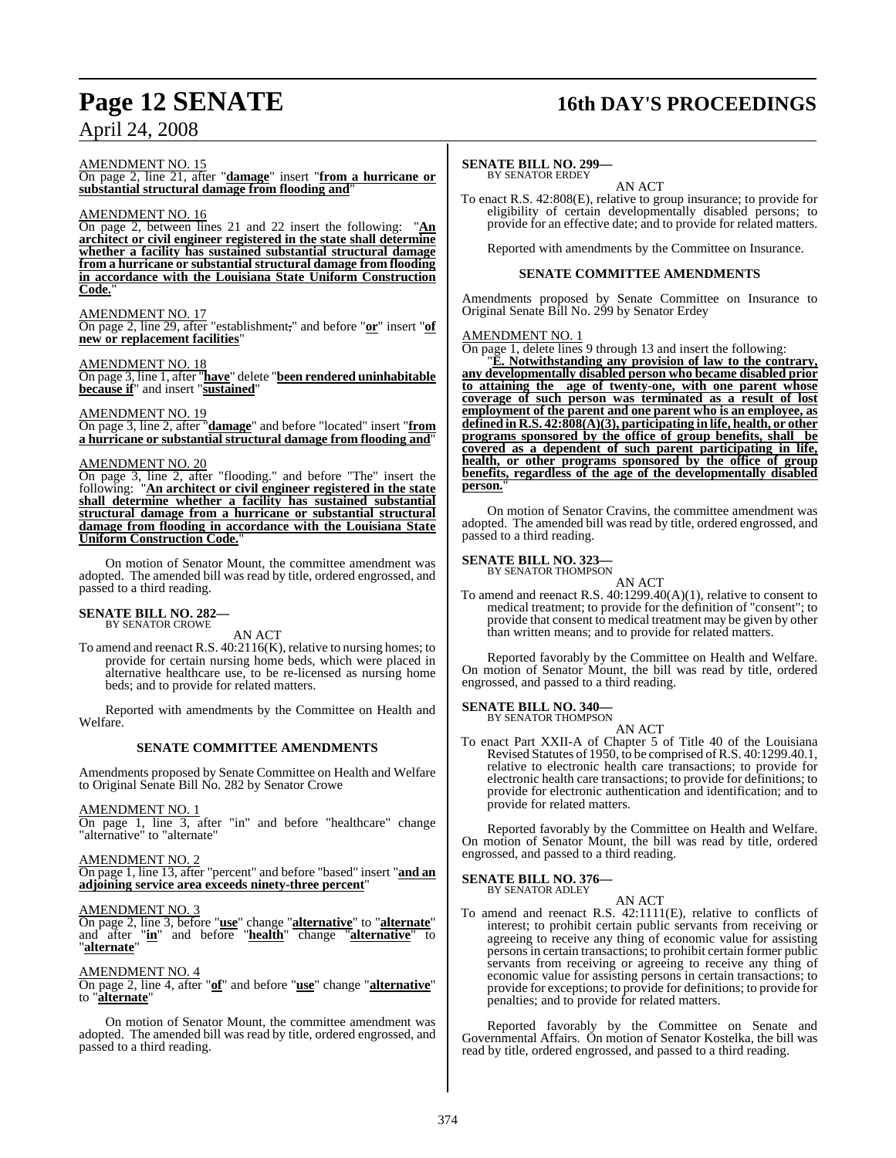#### AMENDMENT NO. 15

On page 2, line 21, after "**damage**" insert "**from a hurricane or substantial structural damage from flooding and**"

#### AMENDMENT NO. 16

On page 2, between lines 21 and 22 insert the following: "**An architect or civil engineer registered in the state shall determine whether a facility has sustained substantial structural damage from a hurricane or substantial structural damage from flooding in accordance with the Louisiana State Uniform Construction Code.**"

#### AMENDMENT NO. 17

On page 2, line 29, after "establishment," and before "**or**" insert "**of new or replacement facilities**"

#### AMENDMENT NO. 18

On page 3, line 1, after "**have**" delete "**been rendered uninhabitable because if**" and insert "**sustained**"

#### AMENDMENT NO. 19

On page 3, line 2, after "**damage**" and before "located" insert "**from a hurricane or substantial structural damage from flooding and**"

#### AMENDMENT NO. 20

On page 3, line 2, after "flooding." and before "The" insert the following: "**An architect or civil engineer registered in the state shall determine whether a facility has sustained substantial structural damage from a hurricane or substantial structural damage from flooding in accordance with the Louisiana State Uniform Construction Code.**"

On motion of Senator Mount, the committee amendment was adopted. The amended bill was read by title, ordered engrossed, and passed to a third reading.

#### **SENATE BILL NO. 282—** BY SENATOR CROWE

AN ACT

To amend and reenact R.S. 40:2116(K), relative to nursing homes; to provide for certain nursing home beds, which were placed in alternative healthcare use, to be re-licensed as nursing home beds; and to provide for related matters.

Reported with amendments by the Committee on Health and Welfare.

#### **SENATE COMMITTEE AMENDMENTS**

Amendments proposed by Senate Committee on Health and Welfare to Original Senate Bill No. 282 by Senator Crowe

#### AMENDMENT NO. 1

On page 1, line 3, after "in" and before "healthcare" change "alternative" to "alternate"

#### AMENDMENT NO. 2

On page 1, line 13, after "percent" and before "based" insert "**and an adjoining service area exceeds ninety-three percent**"

#### AMENDMENT NO. 3

On page 2, line 3, before "**use**" change "**alternative**" to "**alternate**" and after "**in**" and before "**health**" change "**alternative**" to "**alternate**"

#### AMENDMENT NO. 4

#### On page 2, line 4, after "**of**" and before "**use**" change "**alternative**" to "**alternate**"

On motion of Senator Mount, the committee amendment was adopted. The amended bill was read by title, ordered engrossed, and passed to a third reading.

## **Page 12 SENATE 16th DAY'S PROCEEDINGS**

### **SENATE BILL NO. 299—**

BY SENATOR ERDEY AN ACT

To enact R.S. 42:808(E), relative to group insurance; to provide for eligibility of certain developmentally disabled persons; to provide for an effective date; and to provide for related matters.

Reported with amendments by the Committee on Insurance.

#### **SENATE COMMITTEE AMENDMENTS**

Amendments proposed by Senate Committee on Insurance to Original Senate Bill No. 299 by Senator Erdey

#### AMENDMENT NO. 1

On page 1, delete lines 9 through 13 and insert the following:

"**E. Notwithstanding any provision of law to the contrary, any developmentally disabled person who became disabled prior to attaining the age of twenty-one, with one parent whose coverage of such person was terminated as a result of lost employment of the parent and one parent who is an employee, as defined in R.S. 42:808(A)(3), participating in life, health, or other programs sponsored by the office of group benefits, shall be covered as a dependent of such parent participating in life, health, or other programs sponsored by the office of group benefits, regardless of the age of the developmentally disabled person.**"

On motion of Senator Cravins, the committee amendment was adopted. The amended bill was read by title, ordered engrossed, and passed to a third reading.

## **SENATE BILL NO. 323—**<br>BY SENATOR THOMPSON

## AN ACT

To amend and reenact R.S. 40:1299.40(A)(1), relative to consent to medical treatment; to provide for the definition of "consent"; to provide that consent to medical treatment may be given by other than written means; and to provide for related matters.

Reported favorably by the Committee on Health and Welfare. On motion of Senator Mount, the bill was read by title, ordered engrossed, and passed to a third reading.

#### **SENATE BILL NO. 340—** BY SENATOR THOMPSON

AN ACT

To enact Part XXII-A of Chapter 5 of Title 40 of the Louisiana Revised Statutes of 1950, to be comprised ofR.S. 40:1299.40.1, relative to electronic health care transactions; to provide for electronic health care transactions; to provide for definitions; to provide for electronic authentication and identification; and to provide for related matters.

Reported favorably by the Committee on Health and Welfare. On motion of Senator Mount, the bill was read by title, ordered engrossed, and passed to a third reading.

### **SENATE BILL NO. 376—**

BY SENATOR ADLEY

AN ACT To amend and reenact R.S. 42:1111(E), relative to conflicts of interest; to prohibit certain public servants from receiving or agreeing to receive any thing of economic value for assisting personsin certain transactions; to prohibit certain former public servants from receiving or agreeing to receive any thing of economic value for assisting persons in certain transactions; to provide for exceptions; to provide for definitions; to provide for penalties; and to provide for related matters.

Reported favorably by the Committee on Senate and Governmental Affairs. On motion of Senator Kostelka, the bill was read by title, ordered engrossed, and passed to a third reading.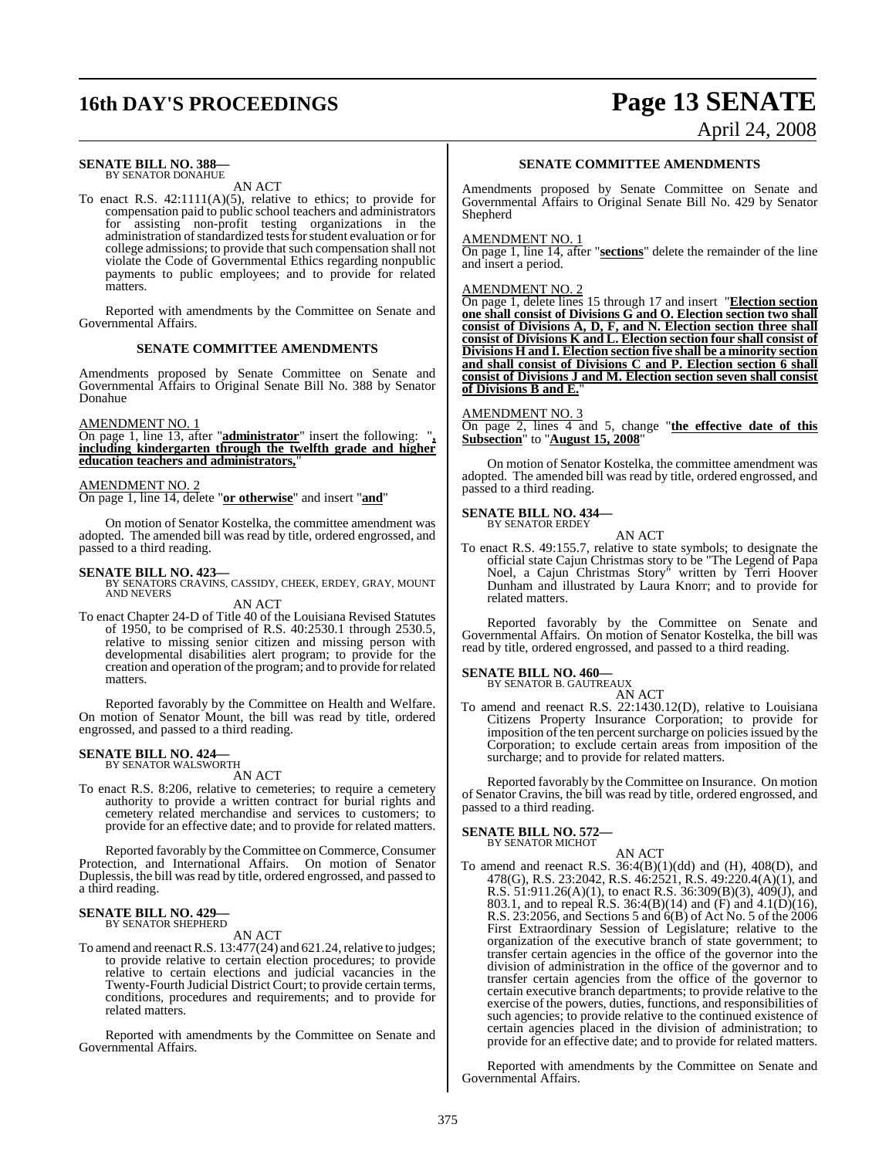# **16th DAY'S PROCEEDINGS Page 13 SENATE**

#### **SENATE BILL NO. 388—** BY SENATOR DONAHUE

AN ACT

To enact R.S. 42:1111(A)(5), relative to ethics; to provide for compensation paid to public school teachers and administrators for assisting non-profit testing organizations in the administration of standardized tests for student evaluation or for college admissions; to provide that such compensation shall not violate the Code of Governmental Ethics regarding nonpublic payments to public employees; and to provide for related matters.

Reported with amendments by the Committee on Senate and Governmental Affairs.

#### **SENATE COMMITTEE AMENDMENTS**

Amendments proposed by Senate Committee on Senate and Governmental Affairs to Original Senate Bill No. 388 by Senator Donahue

#### AMENDMENT NO. 1

On page 1, line 13, after "**administrator**" insert the following: "**, including kindergarten through the twelfth grade and higher education teachers and administrators,**"

#### AMENDMENT NO. 2

On page 1, line 14, delete "**or otherwise**" and insert "**and**"

On motion of Senator Kostelka, the committee amendment was adopted. The amended bill was read by title, ordered engrossed, and passed to a third reading.

**SENATE BILL NO. 423—**<br>BY SENATORS CRAVINS, CASSIDY, CHEEK, ERDEY, GRAY, MOUNT<br>AND NEVERS

AN ACT To enact Chapter 24-D of Title 40 of the Louisiana Revised Statutes of 1950, to be comprised of R.S. 40:2530.1 through 2530.5, relative to missing senior citizen and missing person with developmental disabilities alert program; to provide for the creation and operation of the program; and to provide for related matters.

Reported favorably by the Committee on Health and Welfare. On motion of Senator Mount, the bill was read by title, ordered engrossed, and passed to a third reading.

## **SENATE BILL NO. 424—** BY SENATOR WALSWORTH

AN ACT

To enact R.S. 8:206, relative to cemeteries; to require a cemetery authority to provide a written contract for burial rights and cemetery related merchandise and services to customers; to provide for an effective date; and to provide for related matters.

Reported favorably by the Committee on Commerce, Consumer Protection, and International Affairs. On motion of Senator Duplessis, the bill was read by title, ordered engrossed, and passed to a third reading.

## **SENATE BILL NO. 429—** BY SENATOR SHEPHERD

AN ACT

To amend and reenact R.S.  $13:477(24)$  and  $621.24$ , relative to judges; to provide relative to certain election procedures; to provide relative to certain elections and judicial vacancies in the Twenty-Fourth Judicial District Court; to provide certain terms, conditions, procedures and requirements; and to provide for related matters.

Reported with amendments by the Committee on Senate and Governmental Affairs.

## **SENATE COMMITTEE AMENDMENTS**

Amendments proposed by Senate Committee on Senate and Governmental Affairs to Original Senate Bill No. 429 by Senator Shepherd

#### **AMENDMENT NO.**

On page 1, line 14, after "**sections**" delete the remainder of the line and insert a period.

#### AMENDMENT NO. 2

On page 1, delete lines 15 through 17 and insert "**Election section one shall consist of Divisions G and O. Election section two shall consist of Divisions A, D, F, and N. Election section three shall consist of Divisions K and L. Election section four shall consist of Divisions H and I. Election section five shall be a minority section and shall consist of Divisions C and P. Election section 6 shall consist of Divisions J and M. Election section seven shall consist of Divisions B and E.**"

#### AMENDMENT NO. 3

On page 2, lines 4 and 5, change "**the effective date of this Subsection**" to "**August 15, 2008**"

On motion of Senator Kostelka, the committee amendment was adopted. The amended bill was read by title, ordered engrossed, and passed to a third reading.

#### **SENATE BILL NO. 434—** BY SENATOR ERDEY

AN ACT

To enact R.S. 49:155.7, relative to state symbols; to designate the official state Cajun Christmas story to be "The Legend of Papa Noel, a Cajun Christmas Story" written by Terri Hoover Dunham and illustrated by Laura Knorr; and to provide for related matters.

Reported favorably by the Committee on Senate and Governmental Affairs. On motion of Senator Kostelka, the bill was read by title, ordered engrossed, and passed to a third reading.

## **SENATE BILL NO. 460—** BY SENATOR B. GAUTREAUX

AN ACT

To amend and reenact R.S. 22:1430.12(D), relative to Louisiana Citizens Property Insurance Corporation; to provide for imposition of the ten percent surcharge on policies issued by the Corporation; to exclude certain areas from imposition of the surcharge; and to provide for related matters.

Reported favorably by the Committee on Insurance. On motion of Senator Cravins, the bill was read by title, ordered engrossed, and passed to a third reading.

#### **SENATE BILL NO. 572—** BY SENATOR MICHOT

AN ACT To amend and reenact R.S.  $36:4(B)(1)(dd)$  and  $(H)$ ,  $408(D)$ , and 478(G), R.S. 23:2042, R.S. 46:2521, R.S. 49:220.4(A)(1), and R.S. 51:911.26(A)(1), to enact R.S. 36:309(B)(3), 409(J), and 803.1, and to repeal R.S. 36:4(B)(14) and (F) and 4.1(D)(16), R.S. 23:2056, and Sections 5 and 6(B) of Act No. 5 of the 2006 First Extraordinary Session of Legislature; relative to the organization of the executive branch of state government; to transfer certain agencies in the office of the governor into the division of administration in the office of the governor and to transfer certain agencies from the office of the governor to certain executive branch departments; to provide relative to the exercise of the powers, duties, functions, and responsibilities of such agencies; to provide relative to the continued existence of certain agencies placed in the division of administration; to provide for an effective date; and to provide for related matters.

Reported with amendments by the Committee on Senate and Governmental Affairs.

# April 24, 2008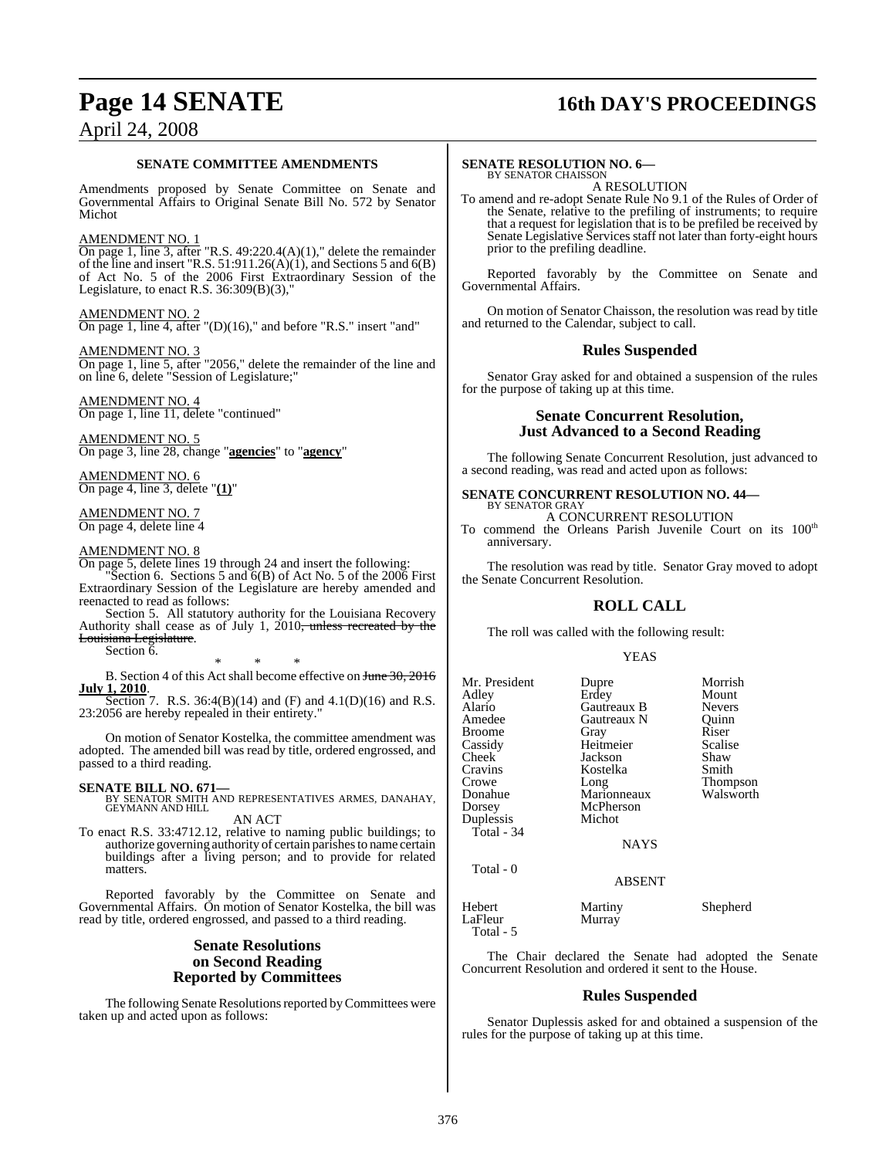## **Page 14 SENATE 16th DAY'S PROCEEDINGS**

## April 24, 2008

#### **SENATE COMMITTEE AMENDMENTS**

Amendments proposed by Senate Committee on Senate and Governmental Affairs to Original Senate Bill No. 572 by Senator Michot

#### AMENDMENT NO. 1

On page 1, line 3, after "R.S.  $49:220.4(A)(1)$ ," delete the remainder of the line and insert "R.S.  $51:911.26(A)(1)$ , and Sections 5 and  $6(B)$ of Act No. 5 of the 2006 First Extraordinary Session of the Legislature, to enact R.S. 36:309(B)(3),"

#### AMENDMENT NO. 2

On page 1, line 4, after "(D)(16)," and before "R.S." insert "and"

#### AMENDMENT NO. 3

On page 1, line 5, after "2056," delete the remainder of the line and on line 6, delete "Session of Legislature;"

AMENDMENT NO. 4 On page 1, line 11, delete "continued"

AMENDMENT NO. 5 On page 3, line 28, change "**agencies**" to "**agency**"

AMENDMENT NO. 6 On page 4, line 3, delete "**(1)**"

AMENDMENT NO. 7 On page 4, delete line 4

#### AMENDMENT NO. 8

On page 5, delete lines 19 through 24 and insert the following:

"Section 6. Sections 5 and  $6(B)$  of Act No. 5 of the 2006 First Extraordinary Session of the Legislature are hereby amended and reenacted to read as follows:

Section 5. All statutory authority for the Louisiana Recovery Authority shall cease as of July 1, 2010<del>, unless recreated by the</del> Louisiana Legislature.

Section 6.

\* \* \* B. Section 4 of this Act shall become effective on June 30, 2016 **July 1, 2010**.

Section 7. R.S. 36:4(B)(14) and (F) and 4.1(D)(16) and R.S. 23:2056 are hereby repealed in their entirety."

On motion of Senator Kostelka, the committee amendment was adopted. The amended bill was read by title, ordered engrossed, and passed to a third reading.

**SENATE BILL NO. 671—**<br>BY SENATOR SMITH AND REPRESENTATIVES ARMES, DANAHAY, GEYMANN AND HILL

AN ACT To enact R.S. 33:4712.12, relative to naming public buildings; to authorize governing authority of certain parishesto name certain buildings after a living person; and to provide for related

matters. Reported favorably by the Committee on Senate and Governmental Affairs. On motion of Senator Kostelka, the bill was

## **Senate Resolutions on Second Reading Reported by Committees**

read by title, ordered engrossed, and passed to a third reading.

The following Senate Resolutions reported by Committees were taken up and acted upon as follows:

#### **SENATE RESOLUTION NO. 6—** BY SENATOR CHAISSON

#### A RESOLUTION

To amend and re-adopt Senate Rule No 9.1 of the Rules of Order of the Senate, relative to the prefiling of instruments; to require that a request for legislation that is to be prefiled be received by Senate Legislative Services staff not later than forty-eight hours prior to the prefiling deadline.

Reported favorably by the Committee on Senate and Governmental Affairs.

On motion of Senator Chaisson, the resolution was read by title and returned to the Calendar, subject to call.

### **Rules Suspended**

Senator Gray asked for and obtained a suspension of the rules for the purpose of taking up at this time.

### **Senate Concurrent Resolution, Just Advanced to a Second Reading**

The following Senate Concurrent Resolution, just advanced to a second reading, was read and acted upon as follows:

# **SENATE CONCURRENT RESOLUTION NO. 44—** BY SENATOR GRAY

## A CONCURRENT RESOLUTION

To commend the Orleans Parish Juvenile Court on its 100<sup>th</sup> anniversary.

The resolution was read by title. Senator Gray moved to adopt the Senate Concurrent Resolution.

## **ROLL CALL**

The roll was called with the following result:

#### YEAS

| Mr. President<br>Adley<br>Alario<br>Amedee<br><b>Broome</b><br>Cassidy<br>Cheek<br>Cravins | Dupre<br>Erdey<br>Gautreaux B<br>Gautreaux N<br>Gray<br>Heitmeier<br>Jackson<br>Kostelka | Morrish<br>Mount<br><b>Nevers</b><br>Ouinn<br>Riser<br>Scalise<br>Shaw<br>Smith |
|--------------------------------------------------------------------------------------------|------------------------------------------------------------------------------------------|---------------------------------------------------------------------------------|
| Crowe<br>Donahue<br>Dorsey<br>Duplessis<br>Total - 34                                      | Long<br>Marionneaux<br>McPherson<br>Michot<br><b>NAYS</b>                                | Thompson<br>Walsworth                                                           |
| Total - 0                                                                                  | <b>ABSENT</b>                                                                            |                                                                                 |
| Hebert<br>LaFleur<br>Total - 5                                                             | Martiny<br>Murray                                                                        | Shepherd                                                                        |

The Chair declared the Senate had adopted the Senate Concurrent Resolution and ordered it sent to the House.

### **Rules Suspended**

Senator Duplessis asked for and obtained a suspension of the rules for the purpose of taking up at this time.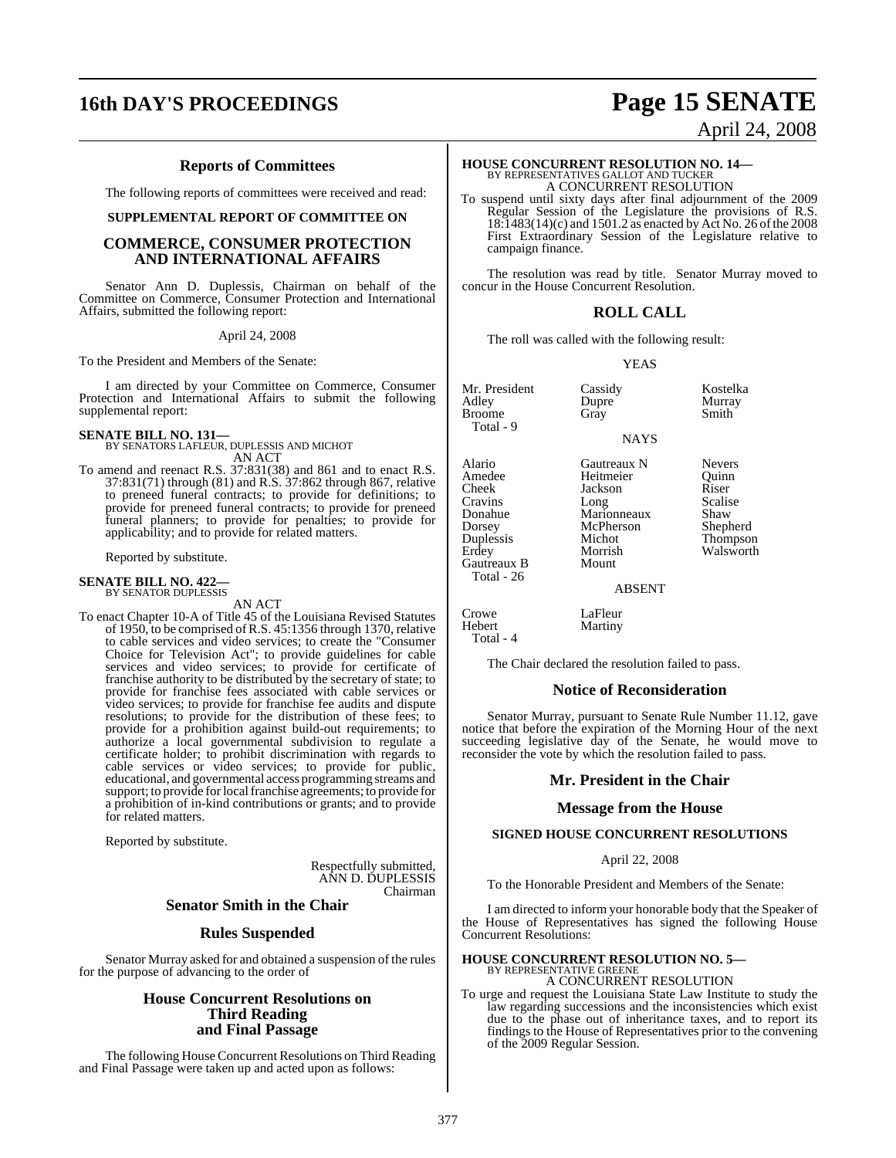# **16th DAY'S PROCEEDINGS Page 15 SENATE**

#### **Reports of Committees**

The following reports of committees were received and read:

#### **SUPPLEMENTAL REPORT OF COMMITTEE ON**

#### **COMMERCE, CONSUMER PROTECTION AND INTERNATIONAL AFFAIRS**

Senator Ann D. Duplessis, Chairman on behalf of the Committee on Commerce, Consumer Protection and International Affairs, submitted the following report:

April 24, 2008

To the President and Members of the Senate:

I am directed by your Committee on Commerce, Consumer Protection and International Affairs to submit the following supplemental report:

**SENATE BILL NO. 131—** BY SENATORS LAFLEUR, DUPLESSIS AND MICHOT AN ACT

To amend and reenact R.S. 37:831(38) and 861 and to enact R.S. 37:831(71) through (81) and R.S. 37:862 through 867, relative to preneed funeral contracts; to provide for definitions; to provide for preneed funeral contracts; to provide for preneed funeral planners; to provide for penalties; to provide for applicability; and to provide for related matters.

Reported by substitute.

#### **SENATE BILL NO. 422—** BY SENATOR DUPLESSIS

AN ACT

To enact Chapter 10-A of Title 45 of the Louisiana Revised Statutes of 1950, to be comprised ofR.S. 45:1356 through 1370, relative to cable services and video services; to create the "Consumer Choice for Television Act"; to provide guidelines for cable services and video services; to provide for certificate of franchise authority to be distributed by the secretary of state; to provide for franchise fees associated with cable services or video services; to provide for franchise fee audits and dispute resolutions; to provide for the distribution of these fees; to provide for a prohibition against build-out requirements; to authorize a local governmental subdivision to regulate a certificate holder; to prohibit discrimination with regards to cable services or video services; to provide for public, educational, and governmental access programming streams and support; to provide for local franchise agreements; to provide for a prohibition of in-kind contributions or grants; and to provide for related matters.

Reported by substitute.

Respectfully submitted, ANN D. DUPLESSIS Chairman

## **Senator Smith in the Chair**

#### **Rules Suspended**

Senator Murray asked for and obtained a suspension of the rules for the purpose of advancing to the order of

### **House Concurrent Resolutions on Third Reading and Final Passage**

The following House Concurrent Resolutions on Third Reading and Final Passage were taken up and acted upon as follows:

# April 24, 2008

#### **HOUSE CONCURRENT RESOLUTION NO. 14—** BY REPRESENTATIVES GALLOT AND TUCKER A CONCURRENT RESOLUTION

To suspend until sixty days after final adjournment of the 2009 Regular Session of the Legislature the provisions of R.S. 18:1483(14)(c) and 1501.2 as enacted by Act No. 26 of the 2008 First Extraordinary Session of the Legislature relative to campaign finance.

The resolution was read by title. Senator Murray moved to concur in the House Concurrent Resolution.

#### **ROLL CALL**

The roll was called with the following result:

YEAS

NAYS

Mr. President Cassidy Kostelka<br>
Adley Dupre Murray **Broome** Total - 9

Alario Gautreaux N Nevers Amedee Heitmeier Quinn<br>Cheek Jackson Riser Cheek Jackson Riser<br>Cravins Long Scalise Cravins Long Scalise Donahue Marionneaux Shaw Dorsey McPherson Shepherd

Gautreaux B Total - 26

Total - 4

Duplessis Michot Thompson Morrish Walsworth

Dupre Murray<br>Gray Smith

#### ABSENT

Crowe LaFleur<br>Hebert Martiny Martiny

The Chair declared the resolution failed to pass.

#### **Notice of Reconsideration**

Senator Murray, pursuant to Senate Rule Number 11.12, gave notice that before the expiration of the Morning Hour of the next succeeding legislative day of the Senate, he would move to reconsider the vote by which the resolution failed to pass.

#### **Mr. President in the Chair**

#### **Message from the House**

#### **SIGNED HOUSE CONCURRENT RESOLUTIONS**

#### April 22, 2008

To the Honorable President and Members of the Senate:

I am directed to inform your honorable body that the Speaker of the House of Representatives has signed the following House Concurrent Resolutions:

## **HOUSE CONCURRENT RESOLUTION NO. 5—** BY REPRESENTATIVE GREENE A CONCURRENT RESOLUTION

To urge and request the Louisiana State Law Institute to study the law regarding successions and the inconsistencies which exist due to the phase out of inheritance taxes, and to report its findings to the House of Representatives prior to the convening of the 2009 Regular Session.